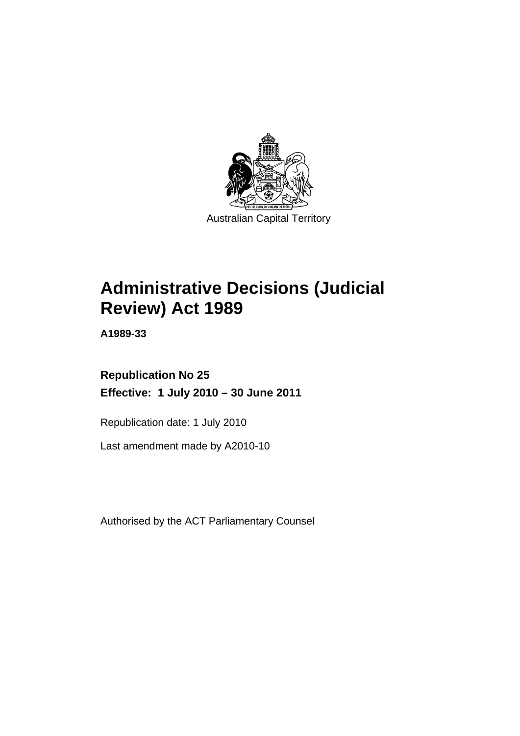

# **Administrative Decisions (Judicial Review) Act 1989**

**A1989-33** 

# **Republication No 25 Effective: 1 July 2010 – 30 June 2011**

Republication date: 1 July 2010

Last amendment made by A2010-10

Authorised by the ACT Parliamentary Counsel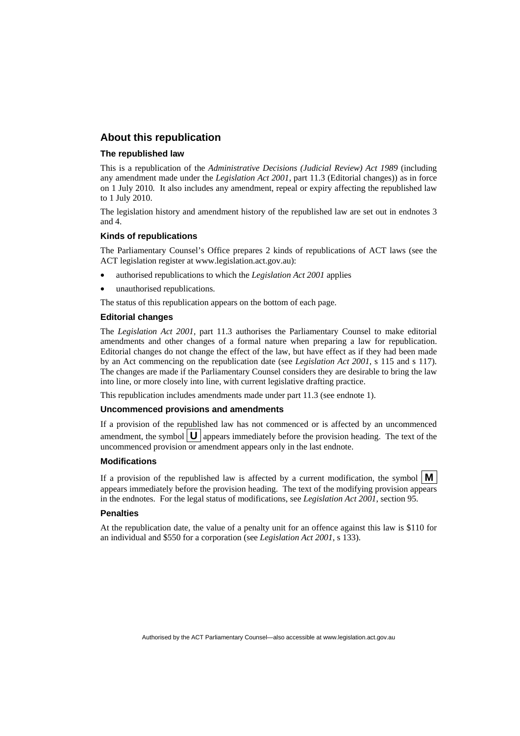## **About this republication**

#### **The republished law**

This is a republication of the *Administrative Decisions (Judicial Review) Act 1989* (including any amendment made under the *Legislation Act 2001*, part 11.3 (Editorial changes)) as in force on 1 July 2010*.* It also includes any amendment, repeal or expiry affecting the republished law to 1 July 2010.

The legislation history and amendment history of the republished law are set out in endnotes 3 and 4.

#### **Kinds of republications**

The Parliamentary Counsel's Office prepares 2 kinds of republications of ACT laws (see the ACT legislation register at www.legislation.act.gov.au):

- authorised republications to which the *Legislation Act 2001* applies
- unauthorised republications.

The status of this republication appears on the bottom of each page.

#### **Editorial changes**

The *Legislation Act 2001*, part 11.3 authorises the Parliamentary Counsel to make editorial amendments and other changes of a formal nature when preparing a law for republication. Editorial changes do not change the effect of the law, but have effect as if they had been made by an Act commencing on the republication date (see *Legislation Act 2001*, s 115 and s 117). The changes are made if the Parliamentary Counsel considers they are desirable to bring the law into line, or more closely into line, with current legislative drafting practice.

This republication includes amendments made under part 11.3 (see endnote 1).

#### **Uncommenced provisions and amendments**

If a provision of the republished law has not commenced or is affected by an uncommenced amendment, the symbol  $\mathbf{U}$  appears immediately before the provision heading. The text of the uncommenced provision  $\overline{or}$  amendment appears only in the last endnote.

#### **Modifications**

If a provision of the republished law is affected by a current modification, the symbol  $\mathbf{M}$ appears immediately before the provision heading. The text of the modifying provision appears in the endnotes. For the legal status of modifications, see *Legislation Act 2001*, section 95.

#### **Penalties**

At the republication date, the value of a penalty unit for an offence against this law is \$110 for an individual and \$550 for a corporation (see *Legislation Act 2001*, s 133).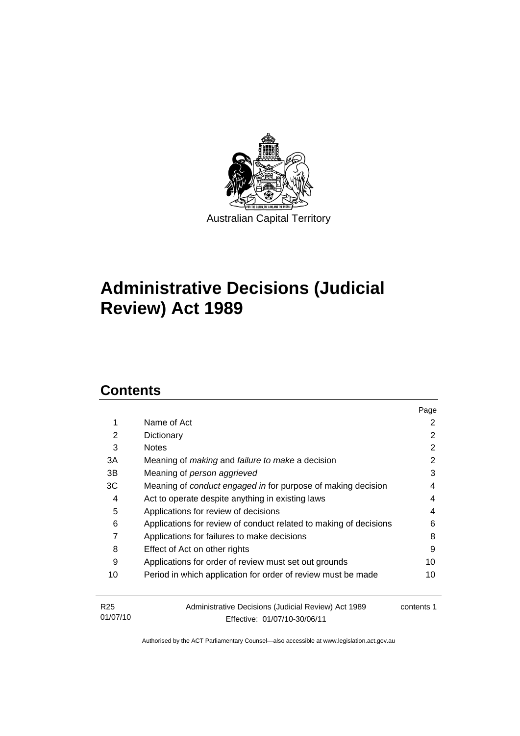

# **Administrative Decisions (Judicial Review) Act 1989**

# **Contents**

01/07/10

|                                                       |                                                                     | Page       |  |  |
|-------------------------------------------------------|---------------------------------------------------------------------|------------|--|--|
| 1                                                     | Name of Act                                                         | 2          |  |  |
| 2                                                     | Dictionary                                                          | 2          |  |  |
| 3                                                     | <b>Notes</b>                                                        | 2          |  |  |
| 3A                                                    | Meaning of <i>making</i> and <i>failure to make</i> a decision      | 2          |  |  |
| 3В                                                    | Meaning of person aggrieved                                         | 3          |  |  |
| ЗC                                                    | Meaning of <i>conduct engaged in</i> for purpose of making decision | 4          |  |  |
| Act to operate despite anything in existing laws<br>4 |                                                                     |            |  |  |
| 5<br>Applications for review of decisions             |                                                                     |            |  |  |
| 6                                                     | Applications for review of conduct related to making of decisions   |            |  |  |
| 7                                                     | Applications for failures to make decisions                         |            |  |  |
| 8                                                     | Effect of Act on other rights                                       |            |  |  |
| 9                                                     | Applications for order of review must set out grounds               | 10         |  |  |
| 10                                                    | Period in which application for order of review must be made        | 10         |  |  |
| R <sub>25</sub>                                       | Administrative Decisions (Judicial Review) Act 1989                 | contents 1 |  |  |

Effective: 01/07/10-30/06/11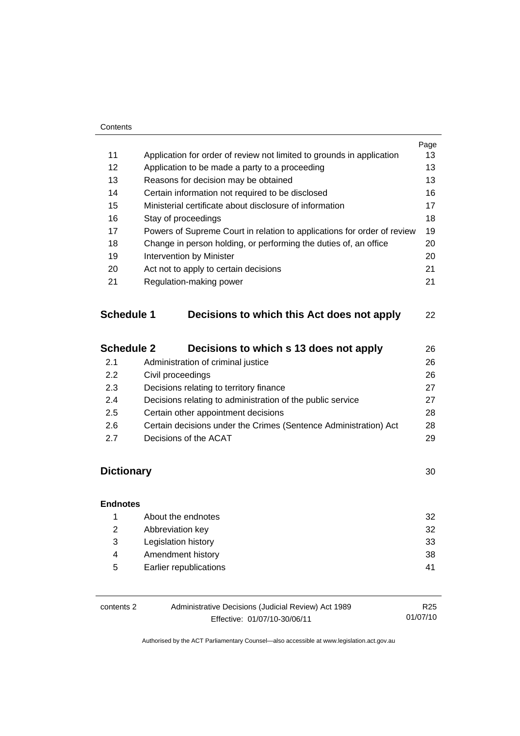#### **Contents**

|    |                                                                         | Page |
|----|-------------------------------------------------------------------------|------|
| 11 | Application for order of review not limited to grounds in application   | 13   |
| 12 | Application to be made a party to a proceeding                          | 13   |
| 13 | Reasons for decision may be obtained                                    | 13   |
| 14 | Certain information not required to be disclosed                        | 16   |
| 15 | Ministerial certificate about disclosure of information                 | 17   |
| 16 | Stay of proceedings                                                     | 18   |
| 17 | Powers of Supreme Court in relation to applications for order of review | 19   |
| 18 | Change in person holding, or performing the duties of, an office        | 20   |
| 19 | Intervention by Minister                                                | 20   |
| 20 | Act not to apply to certain decisions                                   | 21   |
| 21 | Regulation-making power                                                 | 21   |
|    |                                                                         |      |
|    |                                                                         |      |

# **Schedule 1 Decisions to which this Act does not apply** 22

| <b>Schedule 2</b> | Decisions to which s 13 does not apply                           | 26 |
|-------------------|------------------------------------------------------------------|----|
| 2.1               | Administration of criminal justice                               | 26 |
| 2.2               | Civil proceedings                                                | 26 |
| 2.3               | Decisions relating to territory finance                          | 27 |
| 2.4               | Decisions relating to administration of the public service       | 27 |
| 2.5               | Certain other appointment decisions                              | 28 |
| 2.6               | Certain decisions under the Crimes (Sentence Administration) Act | 28 |
| 27                | Decisions of the ACAT                                            | 29 |

# **Dictionary** 30

# **Endnotes** 1 About the endnotes 32 2 Abbreviation key 32 3 Legislation history 33 4 Amendment history 38 5 Earlier republications 41

| contents 2 | Administrative Decisions (Judicial Review) Act 1989 |          |
|------------|-----------------------------------------------------|----------|
|            | Effective: 01/07/10-30/06/11                        | 01/07/10 |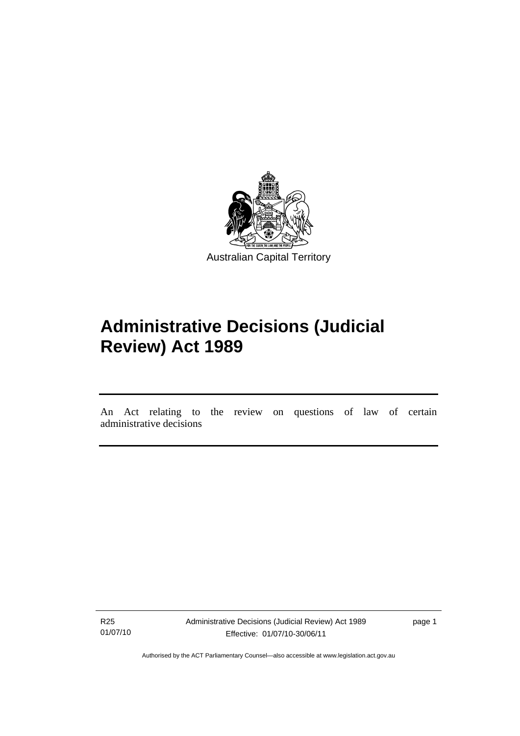

# **Administrative Decisions (Judicial Review) Act 1989**

An Act relating to the review on questions of law of certain administrative decisions

R25 01/07/10

l

Administrative Decisions (Judicial Review) Act 1989 Effective: 01/07/10-30/06/11

page 1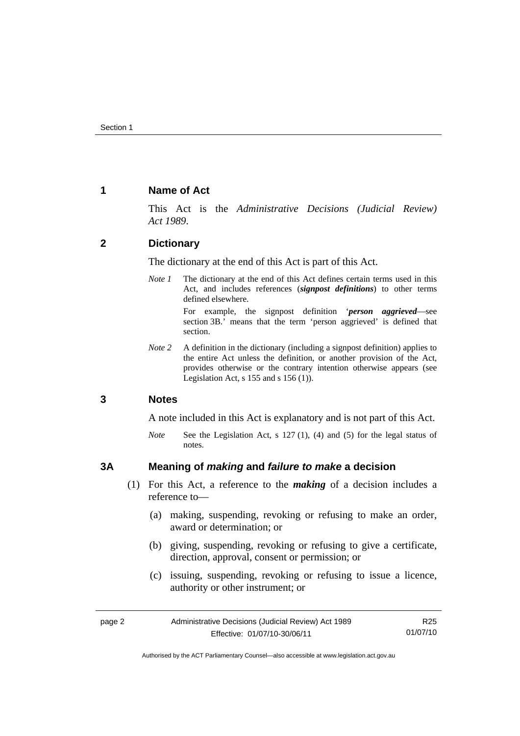## **1 Name of Act**

This Act is the *Administrative Decisions (Judicial Review) Act 1989*.

## **2 Dictionary**

The dictionary at the end of this Act is part of this Act.

*Note 1* The dictionary at the end of this Act defines certain terms used in this Act, and includes references (*signpost definitions*) to other terms defined elsewhere.

> For example, the signpost definition '*person aggrieved*—see section 3B.' means that the term 'person aggrieved' is defined that section.

*Note* 2 A definition in the dictionary (including a signpost definition) applies to the entire Act unless the definition, or another provision of the Act, provides otherwise or the contrary intention otherwise appears (see Legislation Act, s  $155$  and s  $156$  (1)).

## **3 Notes**

A note included in this Act is explanatory and is not part of this Act.

*Note* See the Legislation Act, s 127 (1), (4) and (5) for the legal status of notes.

## **3A Meaning of** *making* **and** *failure to make* **a decision**

- (1) For this Act, a reference to the *making* of a decision includes a reference to—
	- (a) making, suspending, revoking or refusing to make an order, award or determination; or
	- (b) giving, suspending, revoking or refusing to give a certificate, direction, approval, consent or permission; or
	- (c) issuing, suspending, revoking or refusing to issue a licence, authority or other instrument; or

| page 2 | Administrative Decisions (Judicial Review) Act 1989 | R25      |
|--------|-----------------------------------------------------|----------|
|        | Effective: 01/07/10-30/06/11                        | 01/07/10 |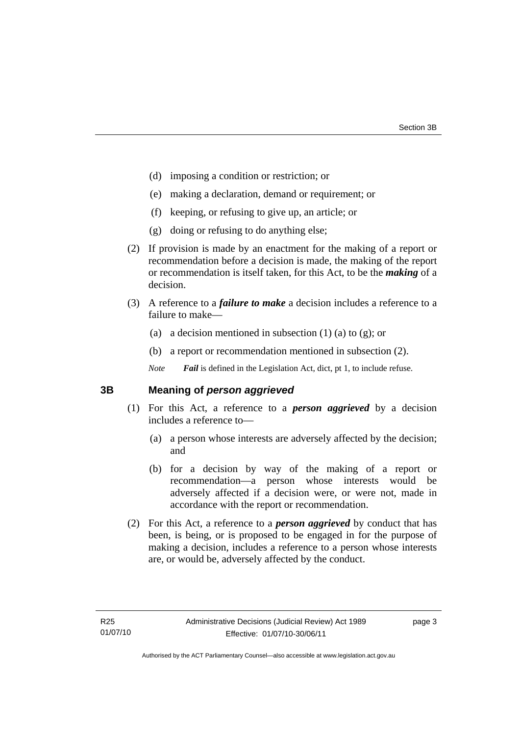- (d) imposing a condition or restriction; or
- (e) making a declaration, demand or requirement; or
- (f) keeping, or refusing to give up, an article; or
- (g) doing or refusing to do anything else;
- (2) If provision is made by an enactment for the making of a report or recommendation before a decision is made, the making of the report or recommendation is itself taken, for this Act, to be the *making* of a decision.
- (3) A reference to a *failure to make* a decision includes a reference to a failure to make—
	- (a) a decision mentioned in subsection  $(1)$  (a) to  $(g)$ ; or
	- (b) a report or recommendation mentioned in subsection (2).

*Note Fail* is defined in the Legislation Act, dict, pt 1, to include refuse.

## **3B Meaning of** *person aggrieved*

- (1) For this Act, a reference to a *person aggrieved* by a decision includes a reference to—
	- (a) a person whose interests are adversely affected by the decision; and
	- (b) for a decision by way of the making of a report or recommendation—a person whose interests would be adversely affected if a decision were, or were not, made in accordance with the report or recommendation.
- (2) For this Act, a reference to a *person aggrieved* by conduct that has been, is being, or is proposed to be engaged in for the purpose of making a decision, includes a reference to a person whose interests are, or would be, adversely affected by the conduct.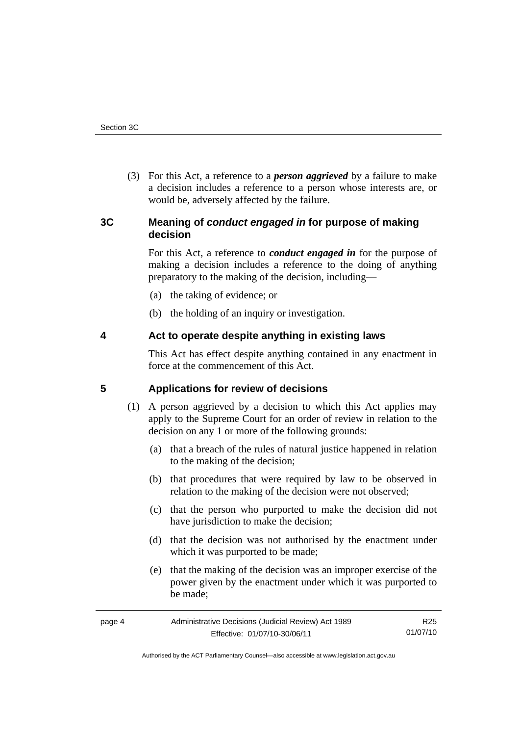(3) For this Act, a reference to a *person aggrieved* by a failure to make a decision includes a reference to a person whose interests are, or would be, adversely affected by the failure.

## **3C Meaning of** *conduct engaged in* **for purpose of making decision**

For this Act, a reference to *conduct engaged in* for the purpose of making a decision includes a reference to the doing of anything preparatory to the making of the decision, including—

- (a) the taking of evidence; or
- (b) the holding of an inquiry or investigation.

## **4 Act to operate despite anything in existing laws**

This Act has effect despite anything contained in any enactment in force at the commencement of this Act.

## **5 Applications for review of decisions**

- (1) A person aggrieved by a decision to which this Act applies may apply to the Supreme Court for an order of review in relation to the decision on any 1 or more of the following grounds:
	- (a) that a breach of the rules of natural justice happened in relation to the making of the decision;
	- (b) that procedures that were required by law to be observed in relation to the making of the decision were not observed;
	- (c) that the person who purported to make the decision did not have jurisdiction to make the decision;
	- (d) that the decision was not authorised by the enactment under which it was purported to be made;
	- (e) that the making of the decision was an improper exercise of the power given by the enactment under which it was purported to be made;

| page 4 | Administrative Decisions (Judicial Review) Act 1989 | R25      |
|--------|-----------------------------------------------------|----------|
|        | Effective: 01/07/10-30/06/11                        | 01/07/10 |

Authorised by the ACT Parliamentary Counsel—also accessible at www.legislation.act.gov.au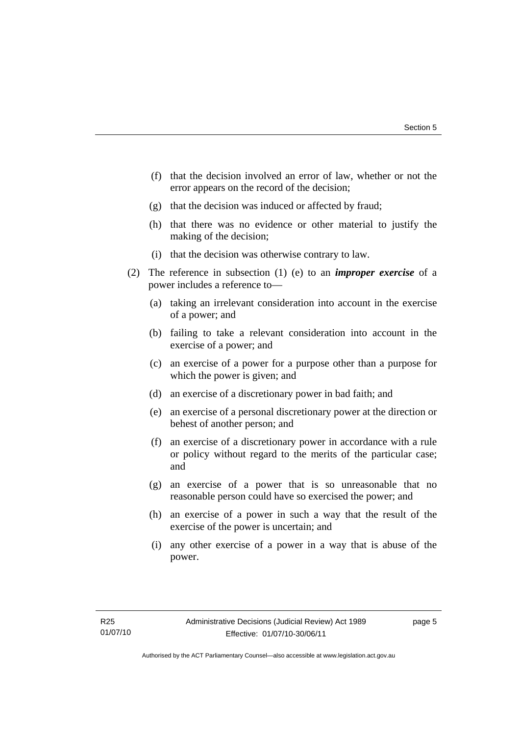- (f) that the decision involved an error of law, whether or not the error appears on the record of the decision;
- (g) that the decision was induced or affected by fraud;
- (h) that there was no evidence or other material to justify the making of the decision;
- (i) that the decision was otherwise contrary to law.
- (2) The reference in subsection (1) (e) to an *improper exercise* of a power includes a reference to—
	- (a) taking an irrelevant consideration into account in the exercise of a power; and
	- (b) failing to take a relevant consideration into account in the exercise of a power; and
	- (c) an exercise of a power for a purpose other than a purpose for which the power is given; and
	- (d) an exercise of a discretionary power in bad faith; and
	- (e) an exercise of a personal discretionary power at the direction or behest of another person; and
	- (f) an exercise of a discretionary power in accordance with a rule or policy without regard to the merits of the particular case; and
	- (g) an exercise of a power that is so unreasonable that no reasonable person could have so exercised the power; and
	- (h) an exercise of a power in such a way that the result of the exercise of the power is uncertain; and
	- (i) any other exercise of a power in a way that is abuse of the power.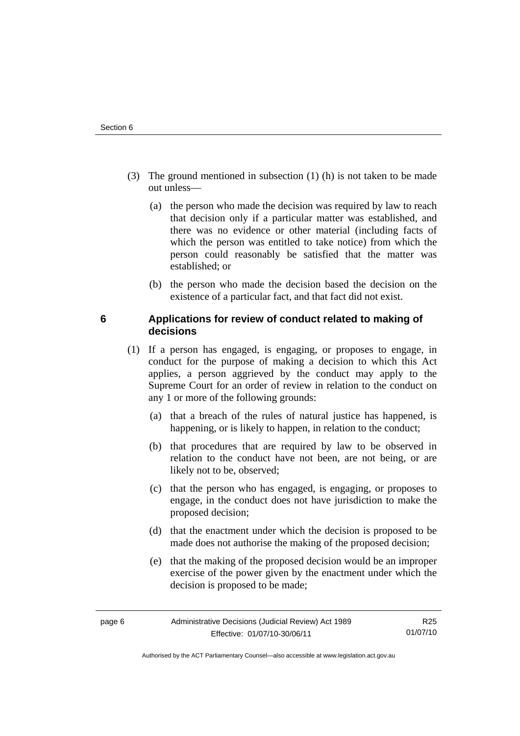- (3) The ground mentioned in subsection (1) (h) is not taken to be made out unless—
	- (a) the person who made the decision was required by law to reach that decision only if a particular matter was established, and there was no evidence or other material (including facts of which the person was entitled to take notice) from which the person could reasonably be satisfied that the matter was established; or
	- (b) the person who made the decision based the decision on the existence of a particular fact, and that fact did not exist.

# **6 Applications for review of conduct related to making of decisions**

- (1) If a person has engaged, is engaging, or proposes to engage, in conduct for the purpose of making a decision to which this Act applies, a person aggrieved by the conduct may apply to the Supreme Court for an order of review in relation to the conduct on any 1 or more of the following grounds:
	- (a) that a breach of the rules of natural justice has happened, is happening, or is likely to happen, in relation to the conduct;
	- (b) that procedures that are required by law to be observed in relation to the conduct have not been, are not being, or are likely not to be, observed;
	- (c) that the person who has engaged, is engaging, or proposes to engage, in the conduct does not have jurisdiction to make the proposed decision;
	- (d) that the enactment under which the decision is proposed to be made does not authorise the making of the proposed decision;
	- (e) that the making of the proposed decision would be an improper exercise of the power given by the enactment under which the decision is proposed to be made;

R25 01/07/10

Authorised by the ACT Parliamentary Counsel—also accessible at www.legislation.act.gov.au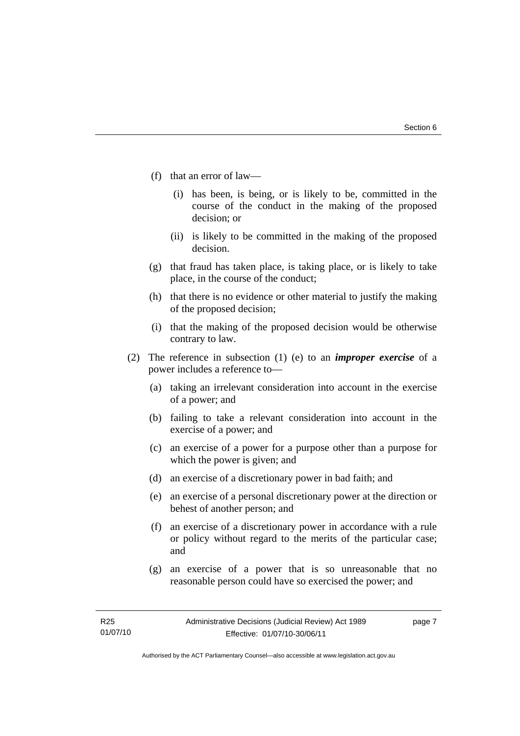- (f) that an error of law—
	- (i) has been, is being, or is likely to be, committed in the course of the conduct in the making of the proposed decision; or
	- (ii) is likely to be committed in the making of the proposed decision.
- (g) that fraud has taken place, is taking place, or is likely to take place, in the course of the conduct;
- (h) that there is no evidence or other material to justify the making of the proposed decision;
- (i) that the making of the proposed decision would be otherwise contrary to law.
- (2) The reference in subsection (1) (e) to an *improper exercise* of a power includes a reference to—
	- (a) taking an irrelevant consideration into account in the exercise of a power; and
	- (b) failing to take a relevant consideration into account in the exercise of a power; and
	- (c) an exercise of a power for a purpose other than a purpose for which the power is given; and
	- (d) an exercise of a discretionary power in bad faith; and
	- (e) an exercise of a personal discretionary power at the direction or behest of another person; and
	- (f) an exercise of a discretionary power in accordance with a rule or policy without regard to the merits of the particular case; and
	- (g) an exercise of a power that is so unreasonable that no reasonable person could have so exercised the power; and

page 7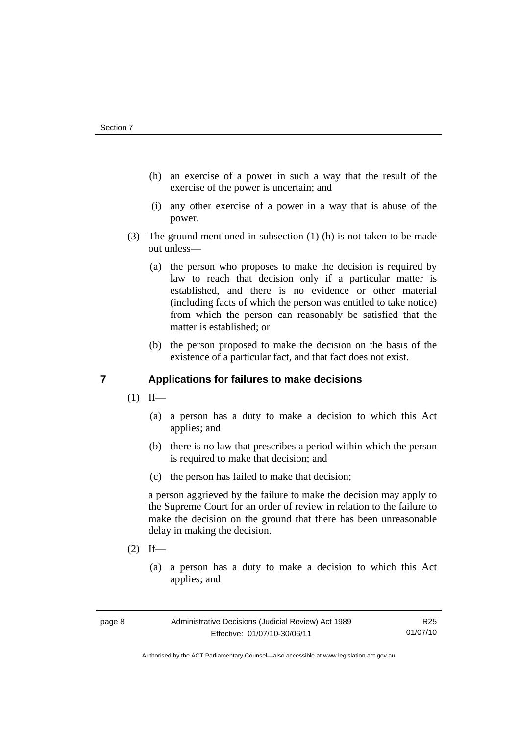- (h) an exercise of a power in such a way that the result of the exercise of the power is uncertain; and
- (i) any other exercise of a power in a way that is abuse of the power.
- (3) The ground mentioned in subsection (1) (h) is not taken to be made out unless—
	- (a) the person who proposes to make the decision is required by law to reach that decision only if a particular matter is established, and there is no evidence or other material (including facts of which the person was entitled to take notice) from which the person can reasonably be satisfied that the matter is established; or
	- (b) the person proposed to make the decision on the basis of the existence of a particular fact, and that fact does not exist.

# **7 Applications for failures to make decisions**

- $(1)$  If—
	- (a) a person has a duty to make a decision to which this Act applies; and
	- (b) there is no law that prescribes a period within which the person is required to make that decision; and
	- (c) the person has failed to make that decision;

a person aggrieved by the failure to make the decision may apply to the Supreme Court for an order of review in relation to the failure to make the decision on the ground that there has been unreasonable delay in making the decision.

- $(2)$  If—
	- (a) a person has a duty to make a decision to which this Act applies; and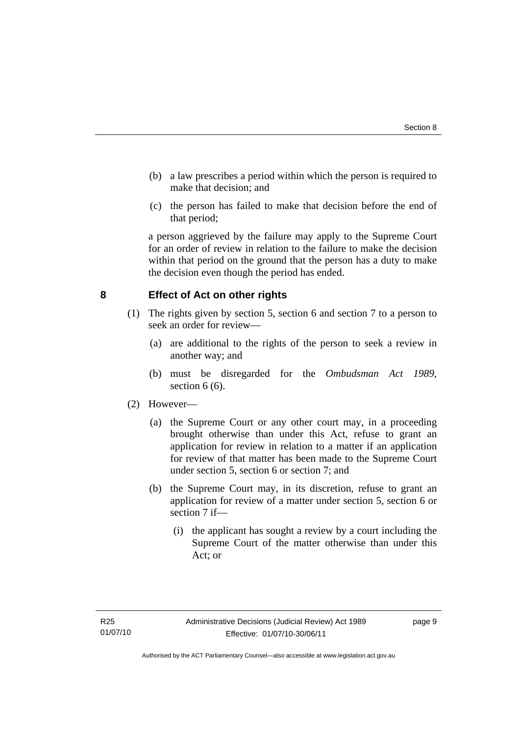- (b) a law prescribes a period within which the person is required to make that decision; and
- (c) the person has failed to make that decision before the end of that period;

a person aggrieved by the failure may apply to the Supreme Court for an order of review in relation to the failure to make the decision within that period on the ground that the person has a duty to make the decision even though the period has ended.

## **8 Effect of Act on other rights**

- (1) The rights given by section 5, section 6 and section 7 to a person to seek an order for review—
	- (a) are additional to the rights of the person to seek a review in another way; and
	- (b) must be disregarded for the *Ombudsman Act 1989*, section  $6(6)$ .

## (2) However—

- (a) the Supreme Court or any other court may, in a proceeding brought otherwise than under this Act, refuse to grant an application for review in relation to a matter if an application for review of that matter has been made to the Supreme Court under section 5, section 6 or section 7; and
- (b) the Supreme Court may, in its discretion, refuse to grant an application for review of a matter under section 5, section 6 or section 7 if—
	- (i) the applicant has sought a review by a court including the Supreme Court of the matter otherwise than under this Act; or

page 9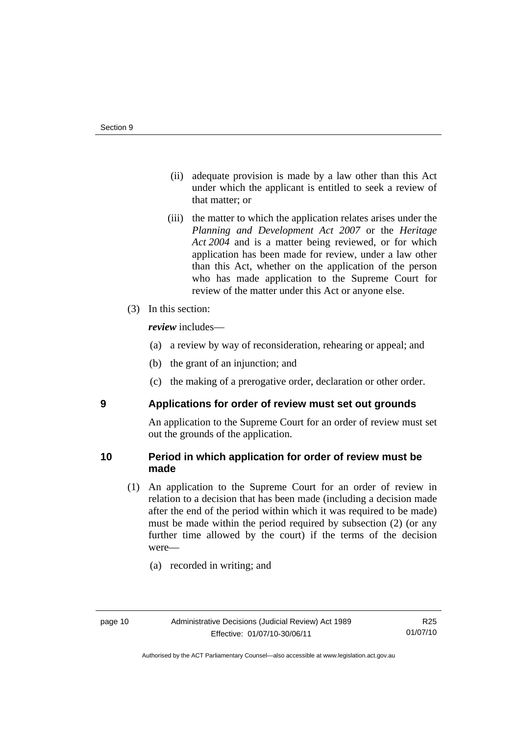- (ii) adequate provision is made by a law other than this Act under which the applicant is entitled to seek a review of that matter; or
- (iii) the matter to which the application relates arises under the *Planning and Development Act 2007* or the *Heritage Act 2004* and is a matter being reviewed, or for which application has been made for review, under a law other than this Act, whether on the application of the person who has made application to the Supreme Court for review of the matter under this Act or anyone else.
- (3) In this section:

*review* includes—

- (a) a review by way of reconsideration, rehearing or appeal; and
- (b) the grant of an injunction; and
- (c) the making of a prerogative order, declaration or other order.

## **9 Applications for order of review must set out grounds**

An application to the Supreme Court for an order of review must set out the grounds of the application.

## **10 Period in which application for order of review must be made**

- (1) An application to the Supreme Court for an order of review in relation to a decision that has been made (including a decision made after the end of the period within which it was required to be made) must be made within the period required by subsection (2) (or any further time allowed by the court) if the terms of the decision were—
	- (a) recorded in writing; and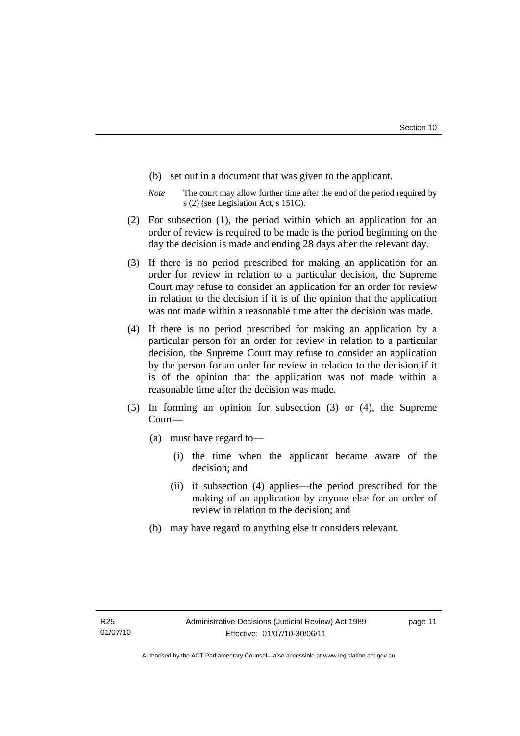- (b) set out in a document that was given to the applicant.
- *Note* The court may allow further time after the end of the period required by s (2) (see Legislation Act, s 151C).
- (2) For subsection (1), the period within which an application for an order of review is required to be made is the period beginning on the day the decision is made and ending 28 days after the relevant day.
- (3) If there is no period prescribed for making an application for an order for review in relation to a particular decision, the Supreme Court may refuse to consider an application for an order for review in relation to the decision if it is of the opinion that the application was not made within a reasonable time after the decision was made.
- (4) If there is no period prescribed for making an application by a particular person for an order for review in relation to a particular decision, the Supreme Court may refuse to consider an application by the person for an order for review in relation to the decision if it is of the opinion that the application was not made within a reasonable time after the decision was made.
- (5) In forming an opinion for subsection (3) or (4), the Supreme Court—
	- (a) must have regard to—
		- (i) the time when the applicant became aware of the decision; and
		- (ii) if subsection (4) applies—the period prescribed for the making of an application by anyone else for an order of review in relation to the decision; and
	- (b) may have regard to anything else it considers relevant.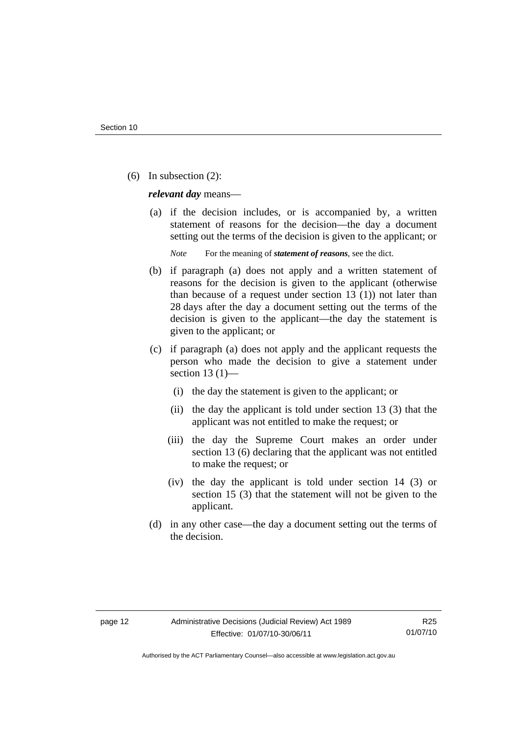(6) In subsection (2):

*relevant day* means—

 (a) if the decision includes, or is accompanied by, a written statement of reasons for the decision—the day a document setting out the terms of the decision is given to the applicant; or

*Note* For the meaning of *statement of reasons*, see the dict.

- (b) if paragraph (a) does not apply and a written statement of reasons for the decision is given to the applicant (otherwise than because of a request under section 13 (1)) not later than 28 days after the day a document setting out the terms of the decision is given to the applicant—the day the statement is given to the applicant; or
- (c) if paragraph (a) does not apply and the applicant requests the person who made the decision to give a statement under section 13 $(1)$ —
	- (i) the day the statement is given to the applicant; or
	- (ii) the day the applicant is told under section 13 (3) that the applicant was not entitled to make the request; or
	- (iii) the day the Supreme Court makes an order under section 13 (6) declaring that the applicant was not entitled to make the request; or
	- (iv) the day the applicant is told under section 14 (3) or section 15 (3) that the statement will not be given to the applicant.
- (d) in any other case—the day a document setting out the terms of the decision.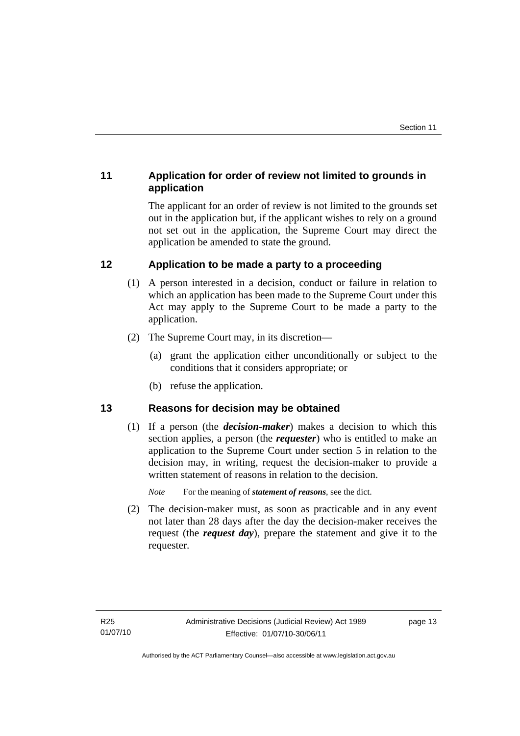# **11 Application for order of review not limited to grounds in application**

The applicant for an order of review is not limited to the grounds set out in the application but, if the applicant wishes to rely on a ground not set out in the application, the Supreme Court may direct the application be amended to state the ground.

# **12 Application to be made a party to a proceeding**

- (1) A person interested in a decision, conduct or failure in relation to which an application has been made to the Supreme Court under this Act may apply to the Supreme Court to be made a party to the application.
- (2) The Supreme Court may, in its discretion—
	- (a) grant the application either unconditionally or subject to the conditions that it considers appropriate; or
	- (b) refuse the application.

# **13 Reasons for decision may be obtained**

(1) If a person (the *decision-maker*) makes a decision to which this section applies, a person (the *requester*) who is entitled to make an application to the Supreme Court under section 5 in relation to the decision may, in writing, request the decision-maker to provide a written statement of reasons in relation to the decision.

*Note* For the meaning of *statement of reasons*, see the dict.

 (2) The decision-maker must, as soon as practicable and in any event not later than 28 days after the day the decision-maker receives the request (the *request day*), prepare the statement and give it to the requester.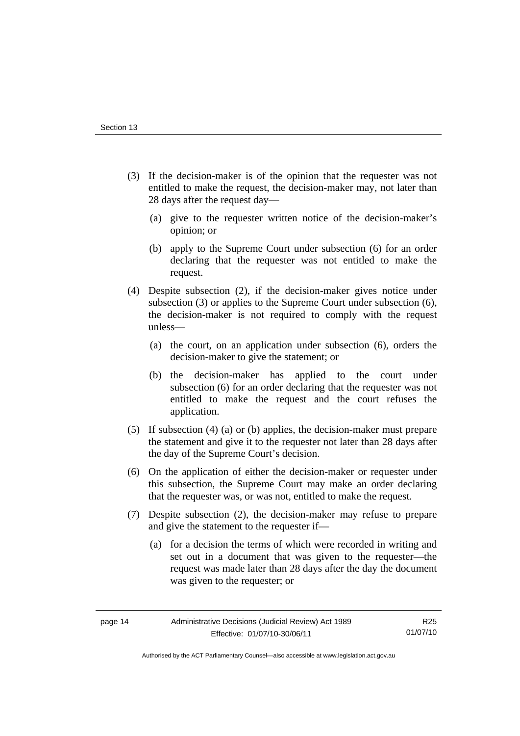- (3) If the decision-maker is of the opinion that the requester was not entitled to make the request, the decision-maker may, not later than 28 days after the request day—
	- (a) give to the requester written notice of the decision-maker's opinion; or
	- (b) apply to the Supreme Court under subsection (6) for an order declaring that the requester was not entitled to make the request.
- (4) Despite subsection (2), if the decision-maker gives notice under subsection (3) or applies to the Supreme Court under subsection (6), the decision-maker is not required to comply with the request unless—
	- (a) the court, on an application under subsection (6), orders the decision-maker to give the statement; or
	- (b) the decision-maker has applied to the court under subsection (6) for an order declaring that the requester was not entitled to make the request and the court refuses the application.
- (5) If subsection (4) (a) or (b) applies, the decision-maker must prepare the statement and give it to the requester not later than 28 days after the day of the Supreme Court's decision.
- (6) On the application of either the decision-maker or requester under this subsection, the Supreme Court may make an order declaring that the requester was, or was not, entitled to make the request.
- (7) Despite subsection (2), the decision-maker may refuse to prepare and give the statement to the requester if—
	- (a) for a decision the terms of which were recorded in writing and set out in a document that was given to the requester—the request was made later than 28 days after the day the document was given to the requester; or

R25 01/07/10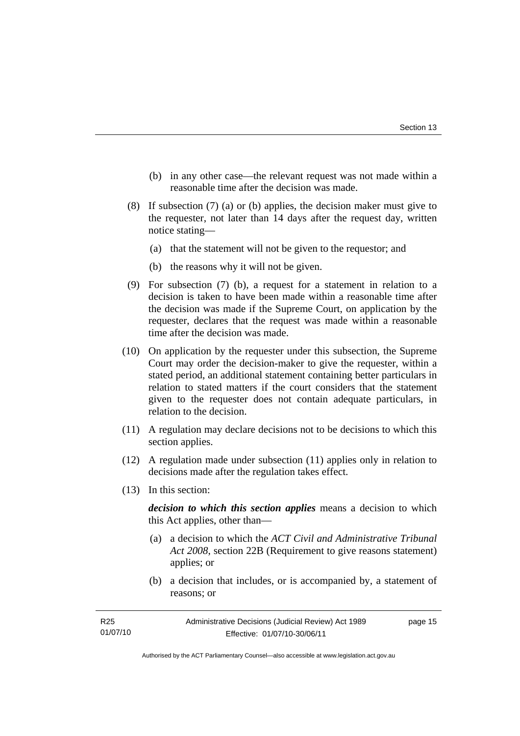- (b) in any other case—the relevant request was not made within a reasonable time after the decision was made.
- (8) If subsection (7) (a) or (b) applies, the decision maker must give to the requester, not later than 14 days after the request day, written notice stating—
	- (a) that the statement will not be given to the requestor; and
	- (b) the reasons why it will not be given.
- (9) For subsection (7) (b), a request for a statement in relation to a decision is taken to have been made within a reasonable time after the decision was made if the Supreme Court, on application by the requester, declares that the request was made within a reasonable time after the decision was made.
- (10) On application by the requester under this subsection, the Supreme Court may order the decision-maker to give the requester, within a stated period, an additional statement containing better particulars in relation to stated matters if the court considers that the statement given to the requester does not contain adequate particulars, in relation to the decision.
- (11) A regulation may declare decisions not to be decisions to which this section applies.
- (12) A regulation made under subsection (11) applies only in relation to decisions made after the regulation takes effect.
- (13) In this section:

*decision to which this section applies* means a decision to which this Act applies, other than—

- (a) a decision to which the *ACT Civil and Administrative Tribunal Act 2008*, section 22B (Requirement to give reasons statement) applies; or
- (b) a decision that includes, or is accompanied by, a statement of reasons; or

| Administrative Decisions (Judicial Review) Act 1989<br>R25 |                              | page 15 |
|------------------------------------------------------------|------------------------------|---------|
| 01/07/10                                                   | Effective: 01/07/10-30/06/11 |         |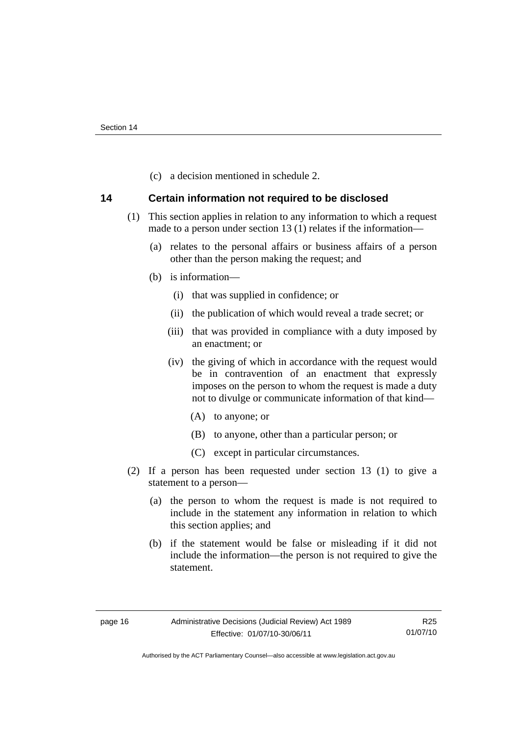(c) a decision mentioned in schedule 2.

## **14 Certain information not required to be disclosed**

- (1) This section applies in relation to any information to which a request made to a person under section 13 (1) relates if the information—
	- (a) relates to the personal affairs or business affairs of a person other than the person making the request; and
	- (b) is information—
		- (i) that was supplied in confidence; or
		- (ii) the publication of which would reveal a trade secret; or
		- (iii) that was provided in compliance with a duty imposed by an enactment; or
		- (iv) the giving of which in accordance with the request would be in contravention of an enactment that expressly imposes on the person to whom the request is made a duty not to divulge or communicate information of that kind—
			- (A) to anyone; or
			- (B) to anyone, other than a particular person; or
			- (C) except in particular circumstances.
- (2) If a person has been requested under section 13 (1) to give a statement to a person—
	- (a) the person to whom the request is made is not required to include in the statement any information in relation to which this section applies; and
	- (b) if the statement would be false or misleading if it did not include the information—the person is not required to give the statement.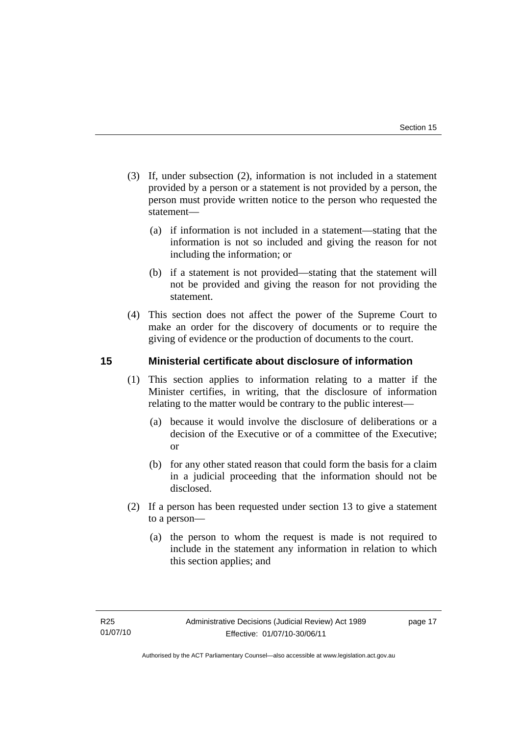- (3) If, under subsection (2), information is not included in a statement provided by a person or a statement is not provided by a person, the person must provide written notice to the person who requested the statement—
	- (a) if information is not included in a statement—stating that the information is not so included and giving the reason for not including the information; or
	- (b) if a statement is not provided—stating that the statement will not be provided and giving the reason for not providing the statement.
- (4) This section does not affect the power of the Supreme Court to make an order for the discovery of documents or to require the giving of evidence or the production of documents to the court.

# **15 Ministerial certificate about disclosure of information**

- (1) This section applies to information relating to a matter if the Minister certifies, in writing, that the disclosure of information relating to the matter would be contrary to the public interest—
	- (a) because it would involve the disclosure of deliberations or a decision of the Executive or of a committee of the Executive; or
	- (b) for any other stated reason that could form the basis for a claim in a judicial proceeding that the information should not be disclosed.
- (2) If a person has been requested under section 13 to give a statement to a person—
	- (a) the person to whom the request is made is not required to include in the statement any information in relation to which this section applies; and

page 17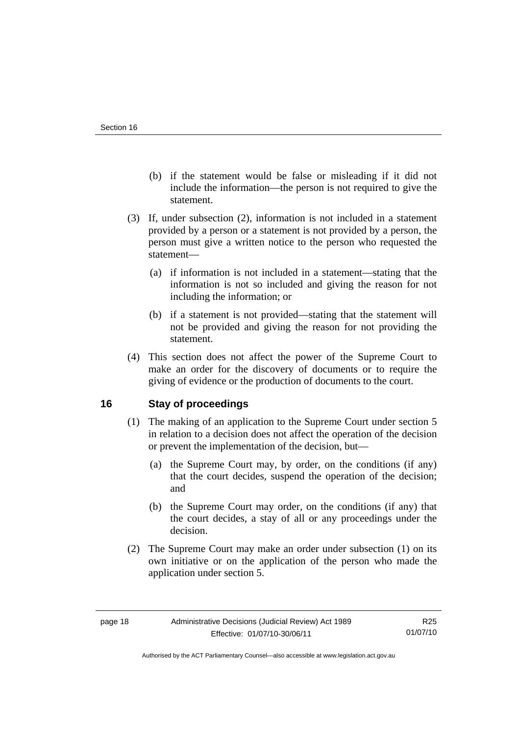- (b) if the statement would be false or misleading if it did not include the information—the person is not required to give the statement.
- (3) If, under subsection (2), information is not included in a statement provided by a person or a statement is not provided by a person, the person must give a written notice to the person who requested the statement—
	- (a) if information is not included in a statement—stating that the information is not so included and giving the reason for not including the information; or
	- (b) if a statement is not provided—stating that the statement will not be provided and giving the reason for not providing the statement.
- (4) This section does not affect the power of the Supreme Court to make an order for the discovery of documents or to require the giving of evidence or the production of documents to the court.

# **16 Stay of proceedings**

- (1) The making of an application to the Supreme Court under section 5 in relation to a decision does not affect the operation of the decision or prevent the implementation of the decision, but—
	- (a) the Supreme Court may, by order, on the conditions (if any) that the court decides, suspend the operation of the decision; and
	- (b) the Supreme Court may order, on the conditions (if any) that the court decides, a stay of all or any proceedings under the decision.
- (2) The Supreme Court may make an order under subsection (1) on its own initiative or on the application of the person who made the application under section 5.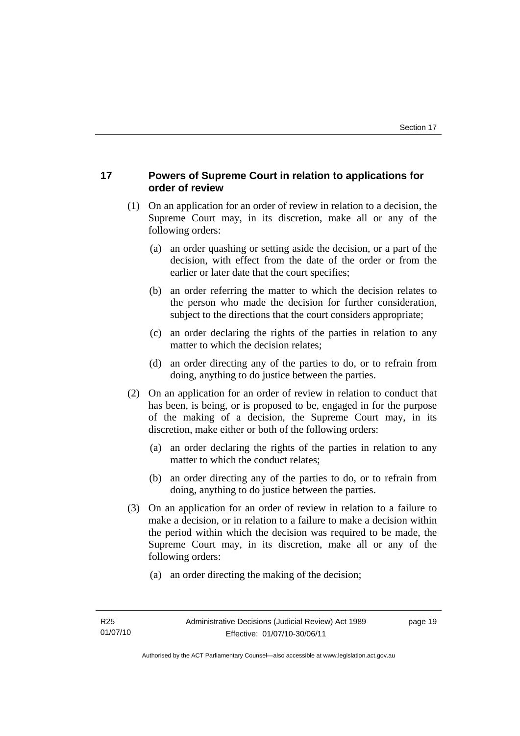# **17 Powers of Supreme Court in relation to applications for order of review**

- (1) On an application for an order of review in relation to a decision, the Supreme Court may, in its discretion, make all or any of the following orders:
	- (a) an order quashing or setting aside the decision, or a part of the decision, with effect from the date of the order or from the earlier or later date that the court specifies;
	- (b) an order referring the matter to which the decision relates to the person who made the decision for further consideration, subject to the directions that the court considers appropriate;
	- (c) an order declaring the rights of the parties in relation to any matter to which the decision relates;
	- (d) an order directing any of the parties to do, or to refrain from doing, anything to do justice between the parties.
- (2) On an application for an order of review in relation to conduct that has been, is being, or is proposed to be, engaged in for the purpose of the making of a decision, the Supreme Court may, in its discretion, make either or both of the following orders:
	- (a) an order declaring the rights of the parties in relation to any matter to which the conduct relates;
	- (b) an order directing any of the parties to do, or to refrain from doing, anything to do justice between the parties.
- (3) On an application for an order of review in relation to a failure to make a decision, or in relation to a failure to make a decision within the period within which the decision was required to be made, the Supreme Court may, in its discretion, make all or any of the following orders:
	- (a) an order directing the making of the decision;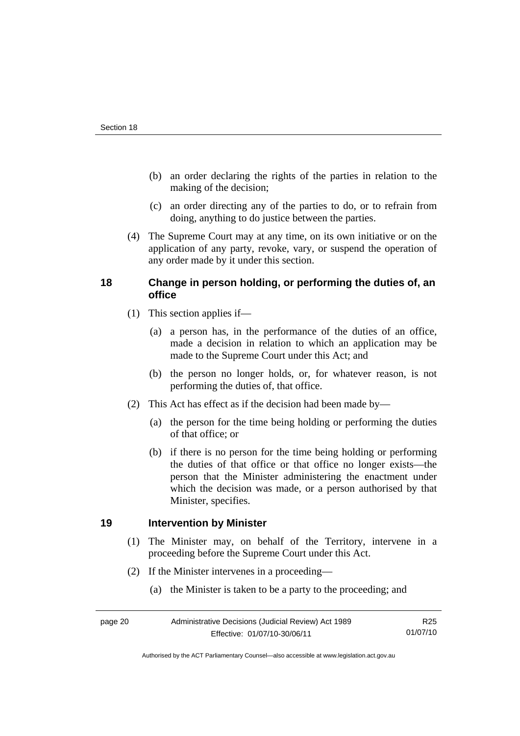- (b) an order declaring the rights of the parties in relation to the making of the decision;
- (c) an order directing any of the parties to do, or to refrain from doing, anything to do justice between the parties.
- (4) The Supreme Court may at any time, on its own initiative or on the application of any party, revoke, vary, or suspend the operation of any order made by it under this section.

# **18 Change in person holding, or performing the duties of, an office**

- (1) This section applies if—
	- (a) a person has, in the performance of the duties of an office, made a decision in relation to which an application may be made to the Supreme Court under this Act; and
	- (b) the person no longer holds, or, for whatever reason, is not performing the duties of, that office.
- (2) This Act has effect as if the decision had been made by—
	- (a) the person for the time being holding or performing the duties of that office; or
	- (b) if there is no person for the time being holding or performing the duties of that office or that office no longer exists—the person that the Minister administering the enactment under which the decision was made, or a person authorised by that Minister, specifies.

## **19 Intervention by Minister**

- (1) The Minister may, on behalf of the Territory, intervene in a proceeding before the Supreme Court under this Act.
- (2) If the Minister intervenes in a proceeding—
	- (a) the Minister is taken to be a party to the proceeding; and

| page 20 | Administrative Decisions (Judicial Review) Act 1989 | R25 |
|---------|-----------------------------------------------------|-----|
|         | Effective: 01/07/10-30/06/11                        |     |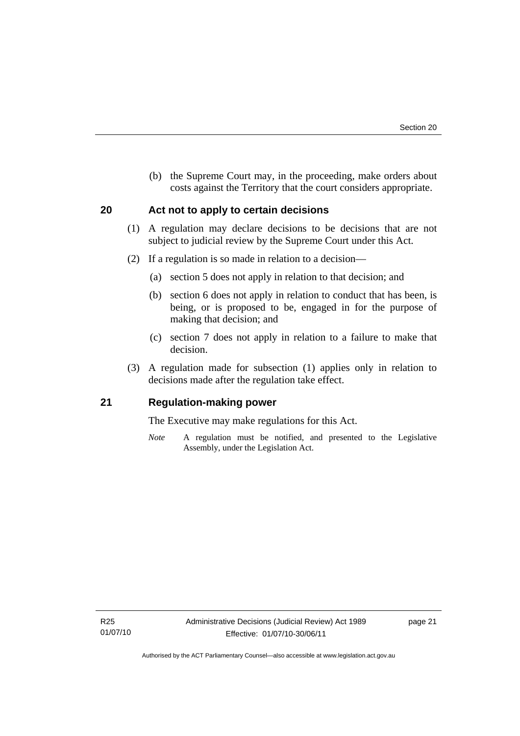(b) the Supreme Court may, in the proceeding, make orders about costs against the Territory that the court considers appropriate.

## **20 Act not to apply to certain decisions**

- (1) A regulation may declare decisions to be decisions that are not subject to judicial review by the Supreme Court under this Act.
- (2) If a regulation is so made in relation to a decision—
	- (a) section 5 does not apply in relation to that decision; and
	- (b) section 6 does not apply in relation to conduct that has been, is being, or is proposed to be, engaged in for the purpose of making that decision; and
	- (c) section 7 does not apply in relation to a failure to make that decision.
- (3) A regulation made for subsection (1) applies only in relation to decisions made after the regulation take effect.

## **21 Regulation-making power**

The Executive may make regulations for this Act.

*Note* A regulation must be notified, and presented to the Legislative Assembly, under the Legislation Act.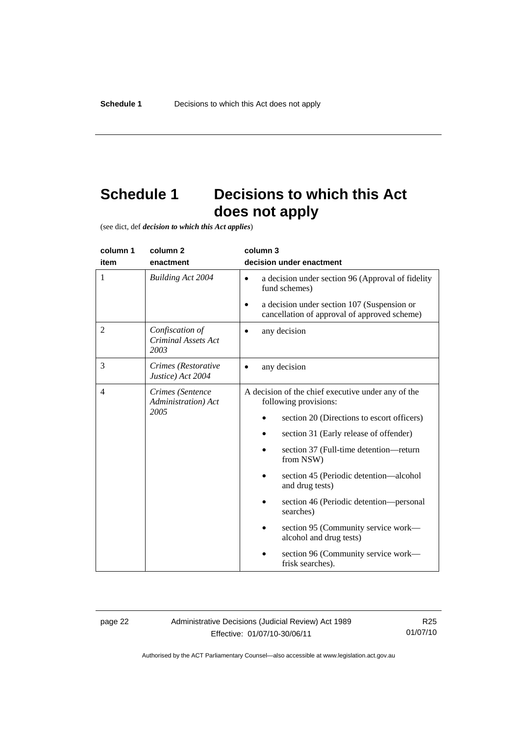# **Schedule 1 Decisions to which this Act does not apply**

(see dict, def *decision to which this Act applies*)

| column 1 | column <sub>2</sub>                                   | column 3                                                                                                                                                                                                                                                                                                                                                                                                                                                                     |
|----------|-------------------------------------------------------|------------------------------------------------------------------------------------------------------------------------------------------------------------------------------------------------------------------------------------------------------------------------------------------------------------------------------------------------------------------------------------------------------------------------------------------------------------------------------|
| item     | enactment                                             | decision under enactment                                                                                                                                                                                                                                                                                                                                                                                                                                                     |
| 1        | <b>Building Act 2004</b>                              | a decision under section 96 (Approval of fidelity<br>$\bullet$<br>fund schemes)<br>a decision under section 107 (Suspension or<br>cancellation of approval of approved scheme)                                                                                                                                                                                                                                                                                               |
| 2        | Confiscation of<br><b>Criminal Assets Act</b><br>2003 | any decision                                                                                                                                                                                                                                                                                                                                                                                                                                                                 |
| 3        | Crimes (Restorative<br>Justice) Act 2004              | any decision                                                                                                                                                                                                                                                                                                                                                                                                                                                                 |
| 4        | Crimes (Sentence<br>Administration) Act<br>2005       | A decision of the chief executive under any of the<br>following provisions:<br>section 20 (Directions to escort officers)<br>section 31 (Early release of offender)<br>section 37 (Full-time detention—return<br>from NSW)<br>section 45 (Periodic detention—alcohol<br>and drug tests)<br>section 46 (Periodic detention—personal<br>searches)<br>section 95 (Community service work—<br>alcohol and drug tests)<br>section 96 (Community service work—<br>frisk searches). |

page 22 Administrative Decisions (Judicial Review) Act 1989 Effective: 01/07/10-30/06/11

R25 01/07/10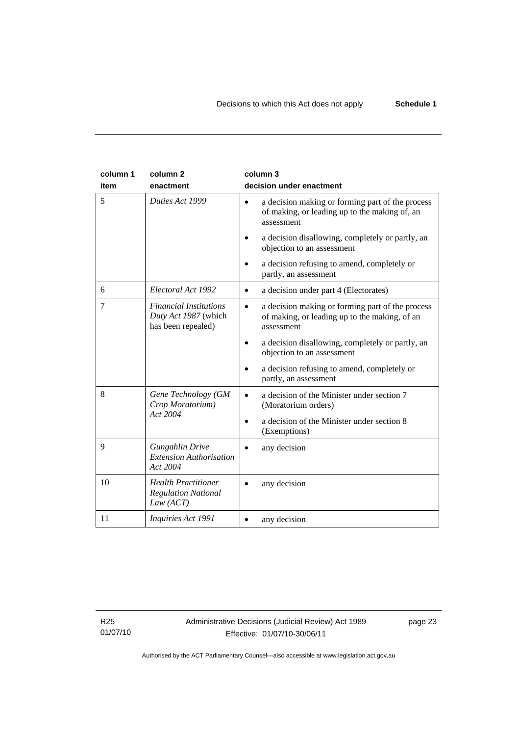| column 1<br>item | column <sub>2</sub><br>enactment                                            | column 3<br>decision under enactment                                                                                                                                             |
|------------------|-----------------------------------------------------------------------------|----------------------------------------------------------------------------------------------------------------------------------------------------------------------------------|
| 5                | Duties Act 1999                                                             | a decision making or forming part of the process<br>$\bullet$<br>of making, or leading up to the making of, an<br>assessment<br>a decision disallowing, completely or partly, an |
|                  |                                                                             | objection to an assessment<br>a decision refusing to amend, completely or<br>partly, an assessment                                                                               |
| 6                | Electoral Act 1992                                                          | a decision under part 4 (Electorates)<br>$\bullet$                                                                                                                               |
| 7                | <b>Financial Institutions</b><br>Duty Act 1987 (which<br>has been repealed) | a decision making or forming part of the process<br>$\bullet$<br>of making, or leading up to the making, of an<br>assessment                                                     |
|                  |                                                                             | a decision disallowing, completely or partly, an<br>objection to an assessment                                                                                                   |
|                  |                                                                             | a decision refusing to amend, completely or<br>partly, an assessment                                                                                                             |
| 8                | Gene Technology (GM<br>Crop Moratorium)                                     | a decision of the Minister under section 7<br>(Moratorium orders)                                                                                                                |
|                  | Act 2004                                                                    | a decision of the Minister under section 8<br>$\bullet$<br>(Exemptions)                                                                                                          |
| 9                | Gungahlin Drive<br><b>Extension Authorisation</b><br>Act 2004               | any decision                                                                                                                                                                     |
| 10               | <b>Health Practitioner</b><br><b>Regulation National</b><br>Law (ACT)       | any decision                                                                                                                                                                     |
| 11               | Inquiries Act 1991                                                          | any decision                                                                                                                                                                     |

R25 01/07/10 page 23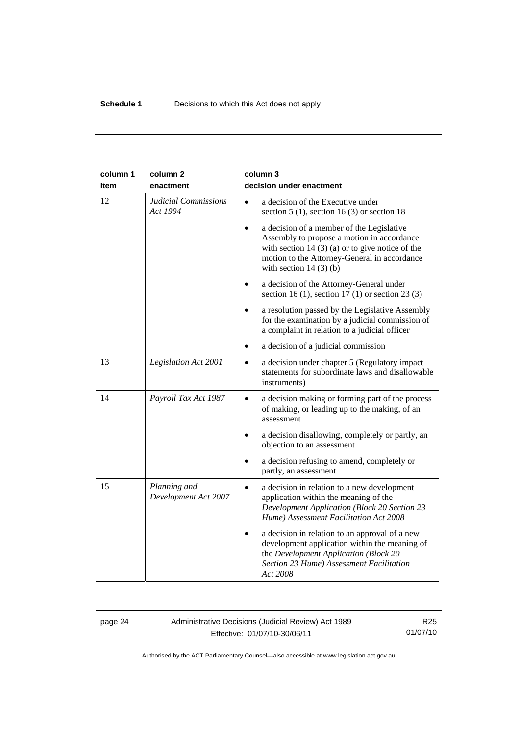| column 1 | column <sub>2</sub>                     | column 3                                                                                                                                                                                                                              |
|----------|-----------------------------------------|---------------------------------------------------------------------------------------------------------------------------------------------------------------------------------------------------------------------------------------|
| item     | enactment                               | decision under enactment                                                                                                                                                                                                              |
| 12       | <b>Judicial Commissions</b><br>Act 1994 | a decision of the Executive under<br>section 5 (1), section 16 (3) or section 18                                                                                                                                                      |
|          |                                         | a decision of a member of the Legislative<br>$\bullet$<br>Assembly to propose a motion in accordance<br>with section 14 $(3)$ (a) or to give notice of the<br>motion to the Attorney-General in accordance<br>with section $14(3)(b)$ |
|          |                                         | a decision of the Attorney-General under<br>section 16 (1), section 17 (1) or section 23 (3)                                                                                                                                          |
|          |                                         | a resolution passed by the Legislative Assembly<br>for the examination by a judicial commission of<br>a complaint in relation to a judicial officer                                                                                   |
|          |                                         | a decision of a judicial commission                                                                                                                                                                                                   |
| 13       | Legislation Act 2001                    | a decision under chapter 5 (Regulatory impact<br>$\bullet$<br>statements for subordinate laws and disallowable<br>instruments)                                                                                                        |
| 14       | Payroll Tax Act 1987                    | a decision making or forming part of the process<br>$\bullet$<br>of making, or leading up to the making, of an<br>assessment                                                                                                          |
|          |                                         | a decision disallowing, completely or partly, an<br>$\bullet$<br>objection to an assessment                                                                                                                                           |
|          |                                         | a decision refusing to amend, completely or<br>partly, an assessment                                                                                                                                                                  |
| 15       | Planning and<br>Development Act 2007    | a decision in relation to a new development<br>$\bullet$<br>application within the meaning of the<br><b>Development Application (Block 20 Section 23</b><br>Hume) Assessment Facilitation Act 2008                                    |
|          |                                         | a decision in relation to an approval of a new<br>development application within the meaning of<br>the Development Application (Block 20<br>Section 23 Hume) Assessment Facilitation<br>Act 2008                                      |

## page 24 Administrative Decisions (Judicial Review) Act 1989 Effective: 01/07/10-30/06/11

R25 01/07/10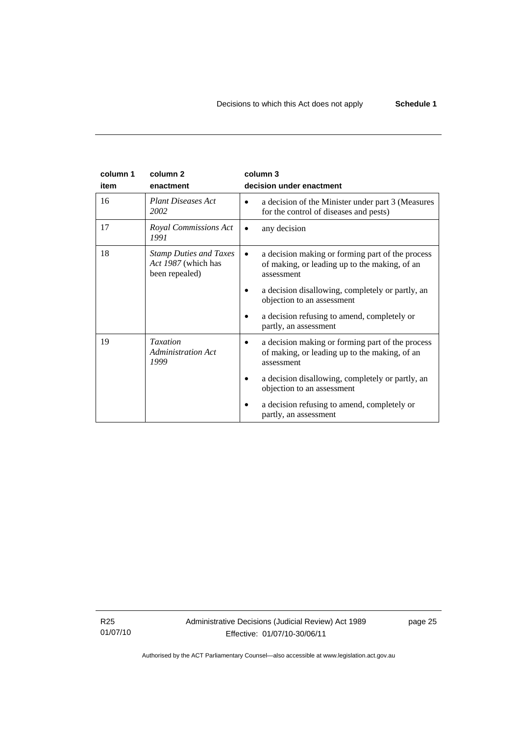| column 1 | column <sub>2</sub>                                                    | column 3                                                                                                        |
|----------|------------------------------------------------------------------------|-----------------------------------------------------------------------------------------------------------------|
| item     | enactment                                                              | decision under enactment                                                                                        |
| 16       | <b>Plant Diseases Act</b><br>2002                                      | a decision of the Minister under part 3 (Measures<br>for the control of diseases and pests)                     |
| 17       | Royal Commissions Act<br>1991                                          | any decision                                                                                                    |
| 18       | <b>Stamp Duties and Taxes</b><br>Act 1987 (which has<br>been repealed) | a decision making or forming part of the process<br>of making, or leading up to the making, of an<br>assessment |
|          |                                                                        | a decision disallowing, completely or partly, an<br>objection to an assessment                                  |
|          |                                                                        | a decision refusing to amend, completely or<br>partly, an assessment                                            |
| 19       | <b>Taxation</b><br>Administration Act<br>1999                          | a decision making or forming part of the process<br>of making, or leading up to the making, of an<br>assessment |
|          |                                                                        | a decision disallowing, completely or partly, an<br>objection to an assessment                                  |
|          |                                                                        | a decision refusing to amend, completely or<br>partly, an assessment                                            |

R25 01/07/10 Administrative Decisions (Judicial Review) Act 1989 Effective: 01/07/10-30/06/11

page 25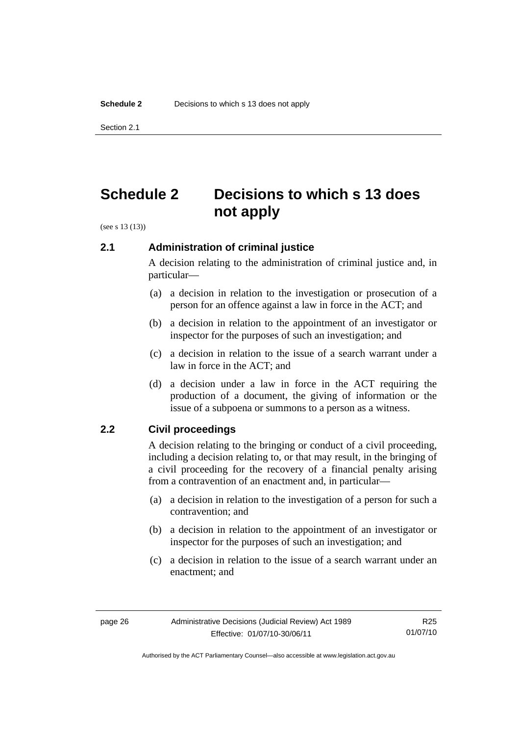Section 2.1

# **Schedule 2 Decisions to which s 13 does not apply**

(see s 13 (13))

## **2.1 Administration of criminal justice**

A decision relating to the administration of criminal justice and, in particular—

- (a) a decision in relation to the investigation or prosecution of a person for an offence against a law in force in the ACT; and
- (b) a decision in relation to the appointment of an investigator or inspector for the purposes of such an investigation; and
- (c) a decision in relation to the issue of a search warrant under a law in force in the ACT; and
- (d) a decision under a law in force in the ACT requiring the production of a document, the giving of information or the issue of a subpoena or summons to a person as a witness.

## **2.2 Civil proceedings**

A decision relating to the bringing or conduct of a civil proceeding, including a decision relating to, or that may result, in the bringing of a civil proceeding for the recovery of a financial penalty arising from a contravention of an enactment and, in particular—

- (a) a decision in relation to the investigation of a person for such a contravention; and
- (b) a decision in relation to the appointment of an investigator or inspector for the purposes of such an investigation; and
- (c) a decision in relation to the issue of a search warrant under an enactment; and

Authorised by the ACT Parliamentary Counsel—also accessible at www.legislation.act.gov.au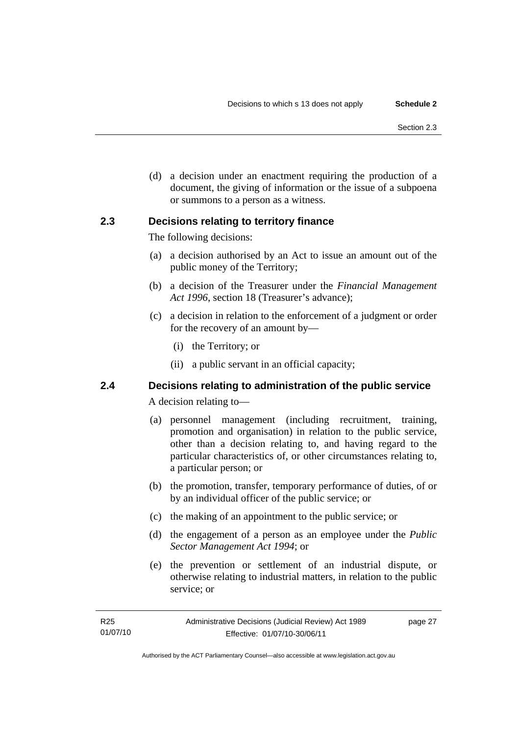(d) a decision under an enactment requiring the production of a document, the giving of information or the issue of a subpoena or summons to a person as a witness.

## **2.3 Decisions relating to territory finance**

The following decisions:

- (a) a decision authorised by an Act to issue an amount out of the public money of the Territory;
- (b) a decision of the Treasurer under the *Financial Management Act 1996*, section 18 (Treasurer's advance);
- (c) a decision in relation to the enforcement of a judgment or order for the recovery of an amount by—
	- (i) the Territory; or
	- (ii) a public servant in an official capacity;

# **2.4 Decisions relating to administration of the public service**

A decision relating to—

- (a) personnel management (including recruitment, training, promotion and organisation) in relation to the public service, other than a decision relating to, and having regard to the particular characteristics of, or other circumstances relating to, a particular person; or
- (b) the promotion, transfer, temporary performance of duties, of or by an individual officer of the public service; or
- (c) the making of an appointment to the public service; or
- (d) the engagement of a person as an employee under the *Public Sector Management Act 1994*; or
- (e) the prevention or settlement of an industrial dispute, or otherwise relating to industrial matters, in relation to the public service; or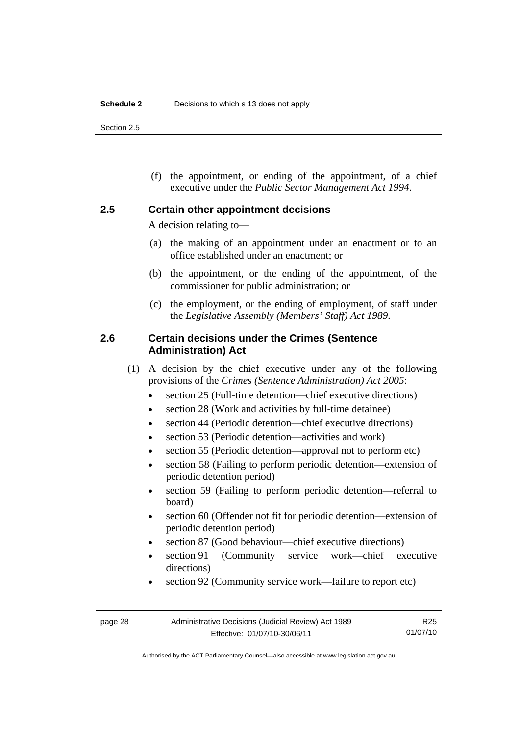Section 2.5

 (f) the appointment, or ending of the appointment, of a chief executive under the *Public Sector Management Act 1994*.

## **2.5 Certain other appointment decisions**

A decision relating to—

- (a) the making of an appointment under an enactment or to an office established under an enactment; or
- (b) the appointment, or the ending of the appointment, of the commissioner for public administration; or
- (c) the employment, or the ending of employment, of staff under the *Legislative Assembly (Members' Staff) Act 1989*.

## **2.6 Certain decisions under the Crimes (Sentence Administration) Act**

- (1) A decision by the chief executive under any of the following provisions of the *Crimes (Sentence Administration) Act 2005*:
	- section 25 (Full-time detention—chief executive directions)
	- section 28 (Work and activities by full-time detainee)
	- section 44 (Periodic detention—chief executive directions)
	- section 53 (Periodic detention—activities and work)
	- section 55 (Periodic detention—approval not to perform etc)
	- section 58 (Failing to perform periodic detention—extension of periodic detention period)
	- section 59 (Failing to perform periodic detention—referral to board)
	- section 60 (Offender not fit for periodic detention—extension of periodic detention period)
	- section 87 (Good behaviour—chief executive directions)
	- section 91 (Community service work—chief executive directions)
	- section 92 (Community service work—failure to report etc)

R25 01/07/10

Authorised by the ACT Parliamentary Counsel—also accessible at www.legislation.act.gov.au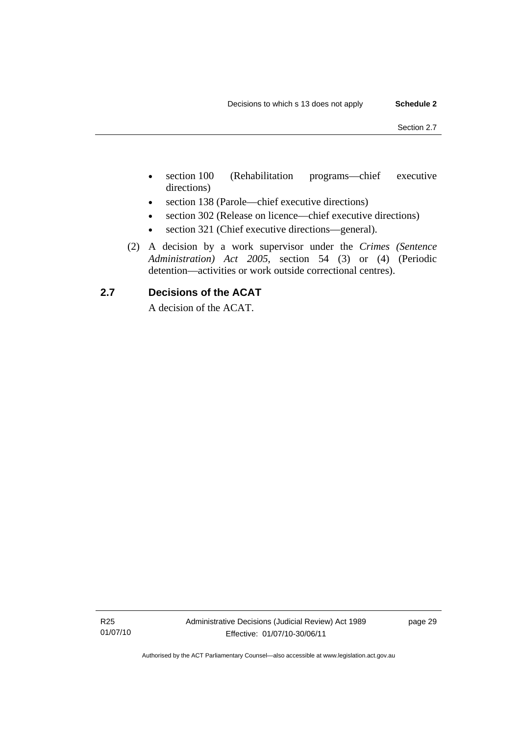- section 100 (Rehabilitation programs—chief executive directions)
- section 138 (Parole—chief executive directions)
- section 302 (Release on licence—chief executive directions)
- section 321 (Chief executive directions—general).
- (2) A decision by a work supervisor under the *Crimes (Sentence Administration) Act 2005*, section 54 (3) or (4) (Periodic detention—activities or work outside correctional centres).

## **2.7 Decisions of the ACAT**

A decision of the ACAT.

R25 01/07/10 Administrative Decisions (Judicial Review) Act 1989 Effective: 01/07/10-30/06/11

page 29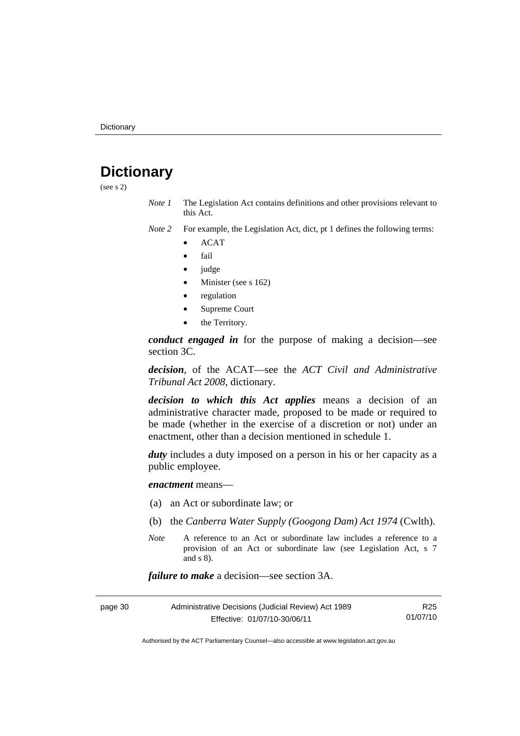# **Dictionary**

(see s 2)

- *Note 1* The Legislation Act contains definitions and other provisions relevant to this Act.
- *Note 2* For example, the Legislation Act, dict, pt 1 defines the following terms:
	- ACAT
	- fail
	- judge
	- Minister (see s 162)
	- regulation
	- Supreme Court
	- the Territory.

*conduct engaged in* for the purpose of making a decision—see section 3C.

*decision*, of the ACAT—see the *ACT Civil and Administrative Tribunal Act 2008*, dictionary.

*decision to which this Act applies* means a decision of an administrative character made, proposed to be made or required to be made (whether in the exercise of a discretion or not) under an enactment, other than a decision mentioned in schedule 1.

*duty* includes a duty imposed on a person in his or her capacity as a public employee.

*enactment* means—

- (a) an Act or subordinate law; or
- (b) the *Canberra Water Supply (Googong Dam) Act 1974* (Cwlth).
- *Note* A reference to an Act or subordinate law includes a reference to a provision of an Act or subordinate law (see Legislation Act, s 7 and s 8).

*failure to make* a decision—see section 3A.

| Administrative Decisions (Judicial Review) Act 1989<br>page 30 |                              | R25      |
|----------------------------------------------------------------|------------------------------|----------|
|                                                                | Effective: 01/07/10-30/06/11 | 01/07/10 |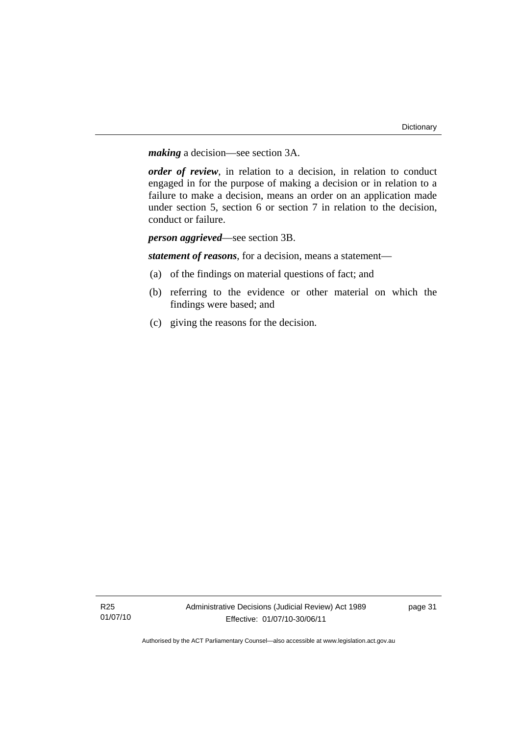*making* a decision—see section 3A.

*order of review*, in relation to a decision, in relation to conduct engaged in for the purpose of making a decision or in relation to a failure to make a decision, means an order on an application made under section 5, section 6 or section 7 in relation to the decision, conduct or failure.

*person aggrieved*—see section 3B.

*statement of reasons*, for a decision, means a statement—

- (a) of the findings on material questions of fact; and
- (b) referring to the evidence or other material on which the findings were based; and
- (c) giving the reasons for the decision.

page 31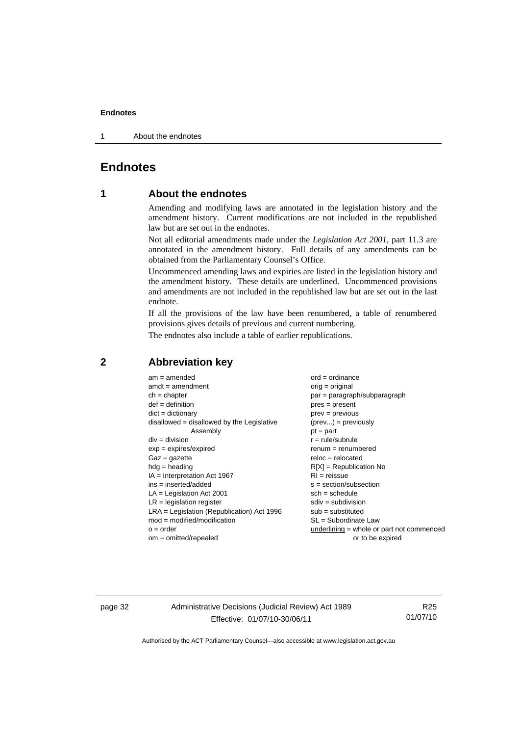1 About the endnotes

# **Endnotes**

## **1 About the endnotes**

Amending and modifying laws are annotated in the legislation history and the amendment history. Current modifications are not included in the republished law but are set out in the endnotes.

Not all editorial amendments made under the *Legislation Act 2001*, part 11.3 are annotated in the amendment history. Full details of any amendments can be obtained from the Parliamentary Counsel's Office.

Uncommenced amending laws and expiries are listed in the legislation history and the amendment history. These details are underlined. Uncommenced provisions and amendments are not included in the republished law but are set out in the last endnote.

If all the provisions of the law have been renumbered, a table of renumbered provisions gives details of previous and current numbering.

The endnotes also include a table of earlier republications.

| $am = amended$                               | $ord = ordinance$                         |
|----------------------------------------------|-------------------------------------------|
| $amdt = amendment$                           | $orig = original$                         |
| $ch = chapter$                               | $par = paragraph/subparagraph$            |
| $def = definition$                           | $pres = present$                          |
| $dict = dictionary$                          | $prev = previous$                         |
| $disallowed = disallowed by the Legislative$ | $(\text{prev}) = \text{previously}$       |
| Assembly                                     | $pt = part$                               |
| $div = division$                             | $r = rule/subrule$                        |
| $exp = expires/expired$                      | $remum = renumbered$                      |
| $Gaz = gazette$                              | $reloc = relocated$                       |
| $h dq =$ heading                             | $R[X]$ = Republication No                 |
| $IA = Interpretation Act 1967$               | $RI = reissue$                            |
| $ins = inserted/added$                       | $s = section/subsection$                  |
| $LA =$ Legislation Act 2001                  | $sch = schedule$                          |
| $LR =$ legislation register                  | $sdiv = subdivision$                      |
| $LRA =$ Legislation (Republication) Act 1996 | $sub =$ substituted                       |
| $mod = modified/modification$                | $SL = Subordinate$ Law                    |
| $o = order$                                  | underlining = whole or part not commenced |
| $om = omitted/repealed$                      | or to be expired                          |
|                                              |                                           |

### **2 Abbreviation key**

page 32 Administrative Decisions (Judicial Review) Act 1989 Effective: 01/07/10-30/06/11

R25 01/07/10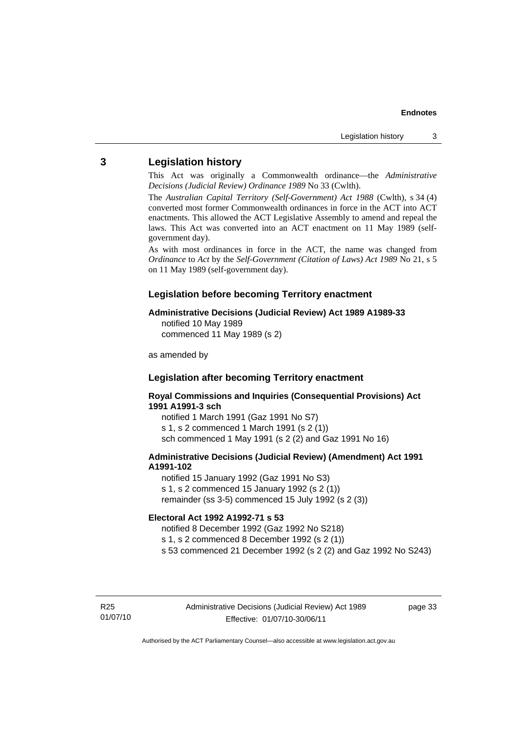## **3 Legislation history**

This Act was originally a Commonwealth ordinance—the *Administrative Decisions (Judicial Review) Ordinance 1989* No 33 (Cwlth).

The *Australian Capital Territory (Self-Government) Act 1988* (Cwlth), s 34 (4) converted most former Commonwealth ordinances in force in the ACT into ACT enactments. This allowed the ACT Legislative Assembly to amend and repeal the laws. This Act was converted into an ACT enactment on 11 May 1989 (selfgovernment day).

As with most ordinances in force in the ACT, the name was changed from *Ordinance* to *Act* by the *Self-Government (Citation of Laws) Act 1989* No 21, s 5 on 11 May 1989 (self-government day).

## **Legislation before becoming Territory enactment**

## **Administrative Decisions (Judicial Review) Act 1989 A1989-33**

notified 10 May 1989 commenced 11 May 1989 (s 2)

as amended by

## **Legislation after becoming Territory enactment**

**Royal Commissions and Inquiries (Consequential Provisions) Act 1991 A1991-3 sch** 

notified 1 March 1991 (Gaz 1991 No S7) s 1, s 2 commenced 1 March 1991 (s 2 (1)) sch commenced 1 May 1991 (s 2 (2) and Gaz 1991 No 16)

### **Administrative Decisions (Judicial Review) (Amendment) Act 1991 A1991-102**

notified 15 January 1992 (Gaz 1991 No S3) s 1, s 2 commenced 15 January 1992 (s 2 (1)) remainder (ss 3-5) commenced 15 July 1992 (s 2 (3))

#### **Electoral Act 1992 A1992-71 s 53**

notified 8 December 1992 (Gaz 1992 No S218)

s 1, s 2 commenced 8 December 1992 (s 2 (1))

s 53 commenced 21 December 1992 (s 2 (2) and Gaz 1992 No S243)

R25 01/07/10 page 33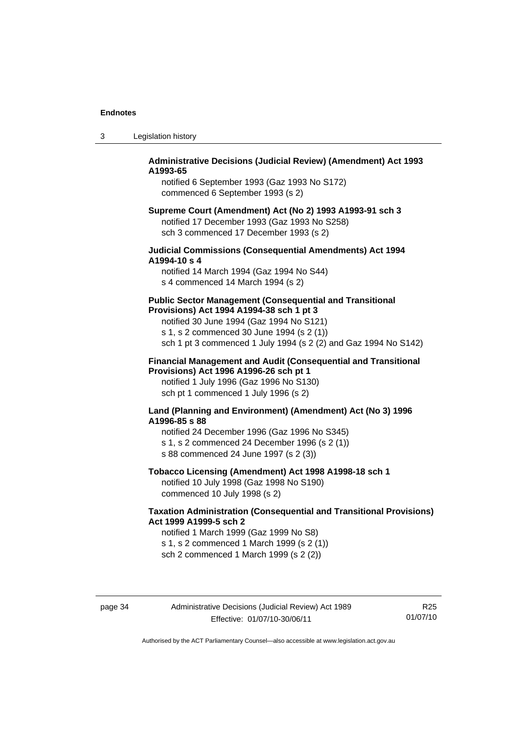| -3 | Legislation history |  |
|----|---------------------|--|
|----|---------------------|--|

### **Administrative Decisions (Judicial Review) (Amendment) Act 1993 A1993-65**

notified 6 September 1993 (Gaz 1993 No S172) commenced 6 September 1993 (s 2)

#### **Supreme Court (Amendment) Act (No 2) 1993 A1993-91 sch 3**  notified 17 December 1993 (Gaz 1993 No S258) sch 3 commenced 17 December 1993 (s 2)

## **Judicial Commissions (Consequential Amendments) Act 1994 A1994-10 s 4**

notified 14 March 1994 (Gaz 1994 No S44) s 4 commenced 14 March 1994 (s 2)

#### **Public Sector Management (Consequential and Transitional Provisions) Act 1994 A1994-38 sch 1 pt 3**

notified 30 June 1994 (Gaz 1994 No S121) s 1, s 2 commenced 30 June 1994 (s 2 (1)) sch 1 pt 3 commenced 1 July 1994 (s 2 (2) and Gaz 1994 No S142)

#### **Financial Management and Audit (Consequential and Transitional Provisions) Act 1996 A1996-26 sch pt 1**

notified 1 July 1996 (Gaz 1996 No S130) sch pt 1 commenced 1 July 1996 (s 2)

#### **Land (Planning and Environment) (Amendment) Act (No 3) 1996 A1996-85 s 88**

notified 24 December 1996 (Gaz 1996 No S345) s 1, s 2 commenced 24 December 1996 (s 2 (1)) s 88 commenced 24 June 1997 (s 2 (3))

## **Tobacco Licensing (Amendment) Act 1998 A1998-18 sch 1**

notified 10 July 1998 (Gaz 1998 No S190) commenced 10 July 1998 (s 2)

## **Taxation Administration (Consequential and Transitional Provisions) Act 1999 A1999-5 sch 2**

notified 1 March 1999 (Gaz 1999 No S8) s 1, s 2 commenced 1 March 1999 (s 2 (1)) sch 2 commenced 1 March 1999 (s 2 (2))

page 34 Administrative Decisions (Judicial Review) Act 1989 Effective: 01/07/10-30/06/11

R25 01/07/10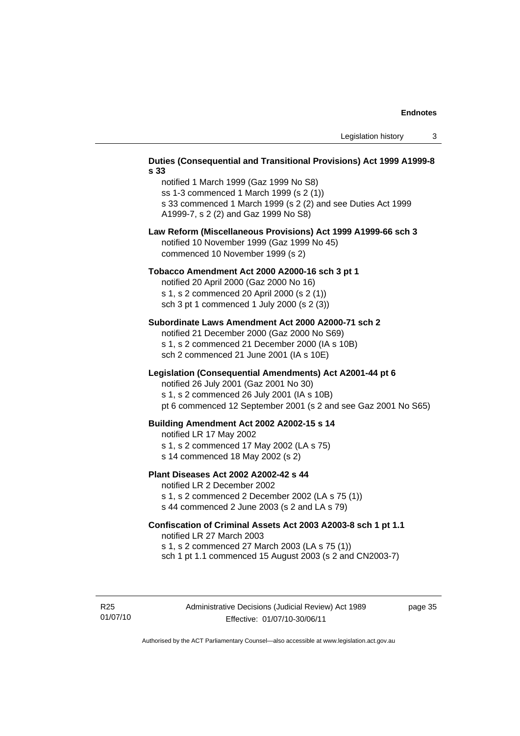#### **Duties (Consequential and Transitional Provisions) Act 1999 A1999-8 s 33**

notified 1 March 1999 (Gaz 1999 No S8) ss 1-3 commenced 1 March 1999 (s 2 (1)) s 33 commenced 1 March 1999 (s 2 (2) and see Duties Act 1999 A1999-7, s 2 (2) and Gaz 1999 No S8)

### **Law Reform (Miscellaneous Provisions) Act 1999 A1999-66 sch 3**  notified 10 November 1999 (Gaz 1999 No 45) commenced 10 November 1999 (s 2)

#### **Tobacco Amendment Act 2000 A2000-16 sch 3 pt 1**

notified 20 April 2000 (Gaz 2000 No 16) s 1, s 2 commenced 20 April 2000 (s 2 (1)) sch 3 pt 1 commenced 1 July 2000 (s 2 (3))

#### **Subordinate Laws Amendment Act 2000 A2000-71 sch 2**

notified 21 December 2000 (Gaz 2000 No S69) s 1, s 2 commenced 21 December 2000 (IA s 10B) sch 2 commenced 21 June 2001 (IA s 10E)

#### **Legislation (Consequential Amendments) Act A2001-44 pt 6**

notified 26 July 2001 (Gaz 2001 No 30)

s 1, s 2 commenced 26 July 2001 (IA s 10B)

pt 6 commenced 12 September 2001 (s 2 and see Gaz 2001 No S65)

#### **Building Amendment Act 2002 A2002-15 s 14**

notified LR 17 May 2002

- s 1, s 2 commenced 17 May 2002 (LA s 75)
- s 14 commenced 18 May 2002 (s 2)

#### **Plant Diseases Act 2002 A2002-42 s 44**

notified LR 2 December 2002

s 1, s 2 commenced 2 December 2002 (LA s 75 (1)) s 44 commenced 2 June 2003 (s 2 and LA s 79)

## **Confiscation of Criminal Assets Act 2003 A2003-8 sch 1 pt 1.1**  notified LR 27 March 2003 s 1, s 2 commenced 27 March 2003 (LA s 75 (1))

sch 1 pt 1.1 commenced 15 August 2003 (s 2 and CN2003-7)

R25 01/07/10 page 35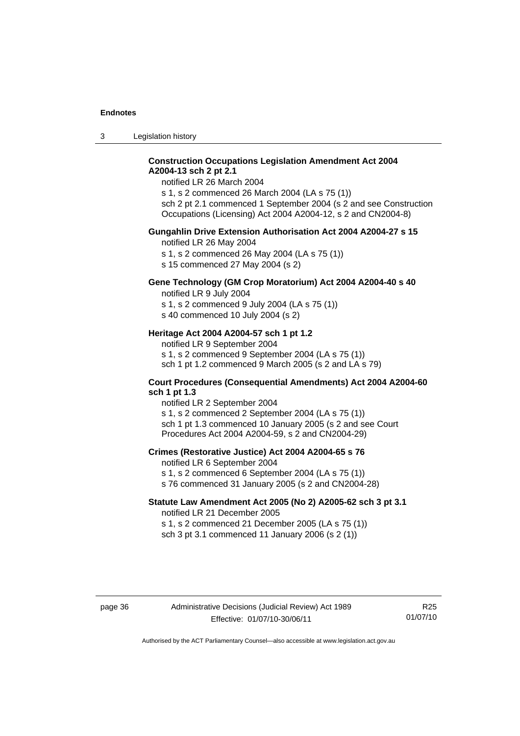3 Legislation history

## **Construction Occupations Legislation Amendment Act 2004 A2004-13 sch 2 pt 2.1**

notified LR 26 March 2004

s 1, s 2 commenced 26 March 2004 (LA s 75 (1)) sch 2 pt 2.1 commenced 1 September 2004 (s 2 and see Construction Occupations (Licensing) Act 2004 A2004-12, s 2 and CN2004-8)

### **Gungahlin Drive Extension Authorisation Act 2004 A2004-27 s 15**

notified LR 26 May 2004

s 1, s 2 commenced 26 May 2004 (LA s 75 (1))

s 15 commenced 27 May 2004 (s 2)

## **Gene Technology (GM Crop Moratorium) Act 2004 A2004-40 s 40**

notified LR 9 July 2004

s 1, s 2 commenced 9 July 2004 (LA s 75 (1)) s 40 commenced 10 July 2004 (s 2)

## **Heritage Act 2004 A2004-57 sch 1 pt 1.2**

notified LR 9 September 2004 s 1, s 2 commenced 9 September 2004 (LA s 75 (1)) sch 1 pt 1.2 commenced 9 March 2005 (s 2 and LA s 79)

#### **Court Procedures (Consequential Amendments) Act 2004 A2004-60 sch 1 pt 1.3**

notified LR 2 September 2004 s 1, s 2 commenced 2 September 2004 (LA s 75 (1)) sch 1 pt 1.3 commenced 10 January 2005 (s 2 and see Court Procedures Act 2004 A2004-59, s 2 and CN2004-29)

#### **Crimes (Restorative Justice) Act 2004 A2004-65 s 76**

notified LR 6 September 2004

- s 1, s 2 commenced 6 September 2004 (LA s 75 (1))
- s 76 commenced 31 January 2005 (s 2 and CN2004-28)

# **Statute Law Amendment Act 2005 (No 2) A2005-62 sch 3 pt 3.1**

notified LR 21 December 2005 s 1, s 2 commenced 21 December 2005 (LA s 75 (1))

sch 3 pt 3.1 commenced 11 January 2006 (s 2 (1))

R25 01/07/10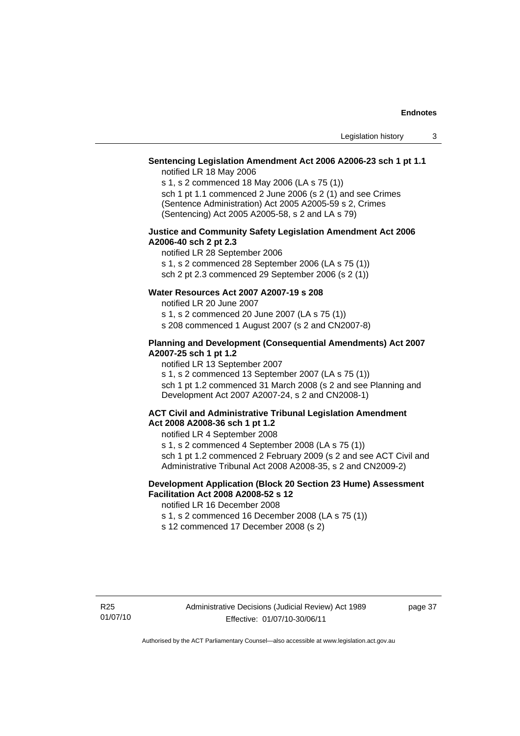## **Sentencing Legislation Amendment Act 2006 A2006-23 sch 1 pt 1.1**

notified LR 18 May 2006

s 1, s 2 commenced 18 May 2006 (LA s 75 (1)) sch 1 pt 1.1 commenced 2 June 2006 (s 2 (1) and see Crimes (Sentence Administration) Act 2005 A2005-59 s 2, Crimes (Sentencing) Act 2005 A2005-58, s 2 and LA s 79)

#### **Justice and Community Safety Legislation Amendment Act 2006 A2006-40 sch 2 pt 2.3**

notified LR 28 September 2006 s 1, s 2 commenced 28 September 2006 (LA s 75 (1)) sch 2 pt 2.3 commenced 29 September 2006 (s 2 (1))

## **Water Resources Act 2007 A2007-19 s 208**

notified LR 20 June 2007

s 1, s 2 commenced 20 June 2007 (LA s 75 (1))

s 208 commenced 1 August 2007 (s 2 and CN2007-8)

### **Planning and Development (Consequential Amendments) Act 2007 A2007-25 sch 1 pt 1.2**

notified LR 13 September 2007

s 1, s 2 commenced 13 September 2007 (LA s 75 (1)) sch 1 pt 1.2 commenced 31 March 2008 (s 2 and see Planning and Development Act 2007 A2007-24, s 2 and CN2008-1)

#### **ACT Civil and Administrative Tribunal Legislation Amendment Act 2008 A2008-36 sch 1 pt 1.2**

notified LR 4 September 2008

s 1, s 2 commenced 4 September 2008 (LA s 75 (1)) sch 1 pt 1.2 commenced 2 February 2009 (s 2 and see ACT Civil and Administrative Tribunal Act 2008 A2008-35, s 2 and CN2009-2)

## **Development Application (Block 20 Section 23 Hume) Assessment Facilitation Act 2008 A2008-52 s 12**

notified LR 16 December 2008

s 1, s 2 commenced 16 December 2008 (LA s 75 (1))

s 12 commenced 17 December 2008 (s 2)

page 37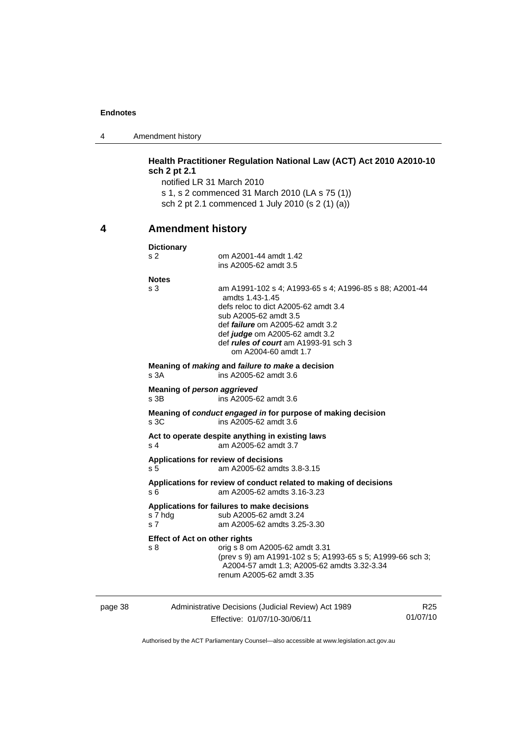4 Amendment history

# **Health Practitioner Regulation National Law (ACT) Act 2010 A2010-10 sch 2 pt 2.1**

notified LR 31 March 2010 s 1, s 2 commenced 31 March 2010 (LA s 75 (1)) sch 2 pt 2.1 commenced 1 July 2010 (s 2 (1) (a))

# **4 Amendment history**

|         | <b>Dictionary</b>                                      |                                                                                                                                                                                                                                                                                          |                 |
|---------|--------------------------------------------------------|------------------------------------------------------------------------------------------------------------------------------------------------------------------------------------------------------------------------------------------------------------------------------------------|-----------------|
|         | s <sub>2</sub>                                         | om A2001-44 amdt 1.42<br>ins A2005-62 amdt 3.5                                                                                                                                                                                                                                           |                 |
|         | <b>Notes</b><br>s <sub>3</sub>                         | am A1991-102 s 4; A1993-65 s 4; A1996-85 s 88; A2001-44<br>amdts 1.43-1.45<br>defs reloc to dict A2005-62 amdt 3.4<br>sub A2005-62 amdt 3.5<br>def <i>failure</i> om A2005-62 amdt 3.2<br>def judge om A2005-62 amdt 3.2<br>def rules of court am A1993-91 sch 3<br>om A2004-60 amdt 1.7 |                 |
|         | s <sub>3A</sub>                                        | Meaning of <i>making</i> and <i>failure to make</i> a decision<br>ins A2005-62 amdt 3.6                                                                                                                                                                                                  |                 |
|         | Meaning of person aggrieved<br>s 3B                    | ins A2005-62 amdt 3.6                                                                                                                                                                                                                                                                    |                 |
|         | s 3C                                                   | Meaning of conduct engaged in for purpose of making decision<br>ins A2005-62 amdt 3.6                                                                                                                                                                                                    |                 |
|         | s 4                                                    | Act to operate despite anything in existing laws<br>am A2005-62 amdt 3.7                                                                                                                                                                                                                 |                 |
|         | s 5                                                    | Applications for review of decisions<br>am A2005-62 amdts 3.8-3.15                                                                                                                                                                                                                       |                 |
|         | s 6                                                    | Applications for review of conduct related to making of decisions<br>am A2005-62 amdts 3.16-3.23                                                                                                                                                                                         |                 |
|         | s 7 hdg<br>s <sub>7</sub>                              | Applications for failures to make decisions<br>sub A2005-62 amdt 3.24<br>am A2005-62 amdts 3.25-3.30                                                                                                                                                                                     |                 |
|         | <b>Effect of Act on other rights</b><br>s <sub>8</sub> | orig s 8 om A2005-62 amdt 3.31<br>(prev s 9) am A1991-102 s 5; A1993-65 s 5; A1999-66 sch 3;<br>A2004-57 amdt 1.3; A2005-62 amdts 3.32-3.34<br>renum A2005-62 amdt 3.35                                                                                                                  |                 |
| page 38 |                                                        | Administrative Decisions (Judicial Review) Act 1989                                                                                                                                                                                                                                      | R <sub>25</sub> |

Effective: 01/07/10-30/06/11

01/07/10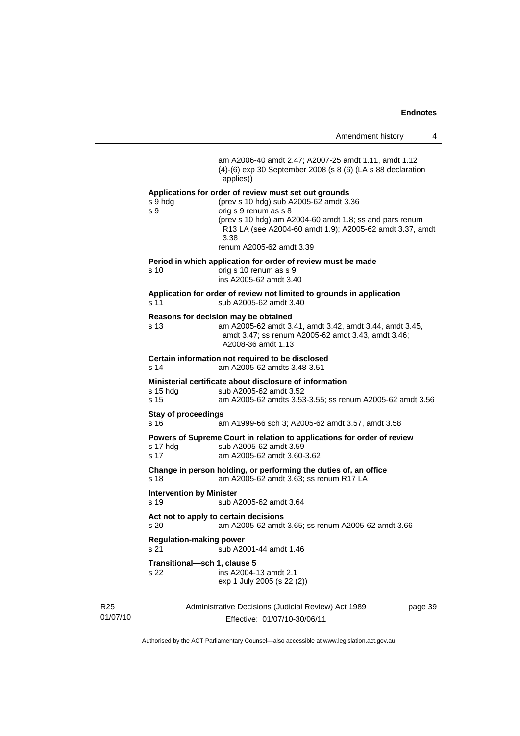Administrative Decisions (Judicial Review) Act 1989 Effective: 01/07/10-30/06/11 page 39 am A2006-40 amdt 2.47; A2007-25 amdt 1.11, amdt 1.12 (4)-(6) exp 30 September 2008 (s 8 (6) (LA s 88 declaration applies)) **Applications for order of review must set out grounds**  (prev s 10 hdg) sub A2005-62 amdt 3.36 s 9 orig s 9 renum as s 8 (prev s 10 hdg) am A2004-60 amdt 1.8; ss and pars renum R13 LA (see A2004-60 amdt 1.9); A2005-62 amdt 3.37, amdt 3.38 renum A2005-62 amdt 3.39 **Period in which application for order of review must be made**  s 10 orig s 10 renum as s 9 ins A2005-62 amdt 3.40 **Application for order of review not limited to grounds in application**  s 11 sub A2005-62 amdt 3.40 **Reasons for decision may be obtained**  s 13 am A2005-62 amdt 3.41, amdt 3.42, amdt 3.44, amdt 3.45, amdt 3.47; ss renum A2005-62 amdt 3.43, amdt 3.46; A2008-36 amdt 1.13 **Certain information not required to be disclosed**  s 14 am A2005-62 amdts 3.48-3.51 **Ministerial certificate about disclosure of information**  sub A2005-62 amdt 3.52 s 15 am A2005-62 amdts 3.53-3.55; ss renum A2005-62 amdt 3.56 **Stay of proceedings**  s 16 am A1999-66 sch 3; A2005-62 amdt 3.57, amdt 3.58 **Powers of Supreme Court in relation to applications for order of review**  s 17 hdg sub A2005-62 amdt 3.59 s 17 am A2005-62 amdt 3.60-3.62 **Change in person holding, or performing the duties of, an office**  s 18 am A2005-62 amdt 3.63; ss renum R17 LA **Intervention by Minister**  s 19 sub A2005-62 amdt 3.64 **Act not to apply to certain decisions**  s 20 am A2005-62 amdt 3.65; ss renum A2005-62 amdt 3.66 **Regulation-making power**  s 21 sub A2001-44 amdt 1.46 **Transitional—sch 1, clause 5**  s 22 ins A2004-13 amdt 2.1 exp 1 July 2005 (s 22 (2))

Authorised by the ACT Parliamentary Counsel—also accessible at www.legislation.act.gov.au

R25 01/07/10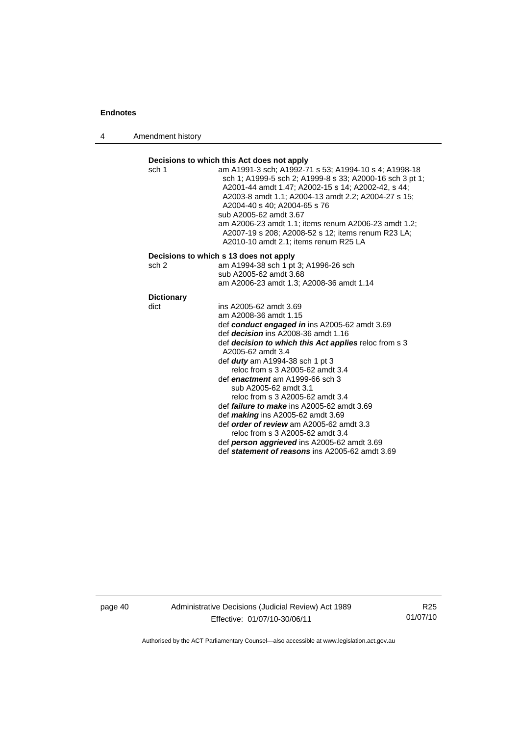4 Amendment history

#### **Decisions to which this Act does not apply**  sch 1 am A1991-3 sch; A1992-71 s 53; A1994-10 s 4; A1998-18 sch 1; A1999-5 sch 2; A1999-8 s 33; A2000-16 sch 3 pt 1; A2001-44 amdt 1.47; A2002-15 s 14; A2002-42, s 44; A2003-8 amdt 1.1; A2004-13 amdt 2.2; A2004-27 s 15; A2004-40 s 40; A2004-65 s 76 sub A2005-62 amdt 3.67 am A2006-23 amdt 1.1; items renum A2006-23 amdt 1.2; A2007-19 s 208; A2008-52 s 12; items renum R23 LA; A2010-10 amdt 2.1; items renum R25 LA **Decisions to which s 13 does not apply**<br>sch 2 am A1994-38 sch 1 pt am A1994-38 sch 1 pt 3; A1996-26 sch sub A2005-62 amdt 3.68 am A2006-23 amdt 1.3; A2008-36 amdt 1.14 **Dictionary**  dict ins A2005-62 amdt 3.69 am A2008-36 amdt 1.15 def *conduct engaged in* ins A2005-62 amdt 3.69 def *decision* ins A2008-36 amdt 1.16 def *decision to which this Act applies* reloc from s 3 A2005-62 amdt 3.4 def *duty* am A1994-38 sch 1 pt 3 reloc from s 3 A2005-62 amdt 3.4 def *enactment* am A1999-66 sch 3 sub A2005-62 amdt 3.1 reloc from s 3 A2005-62 amdt 3.4 def *failure to make* ins A2005-62 amdt 3.69 def *making* ins A2005-62 amdt 3.69 def *order of review* am A2005-62 amdt 3.3 reloc from s 3 A2005-62 amdt 3.4

 def *person aggrieved* ins A2005-62 amdt 3.69 def *statement of reasons* ins A2005-62 amdt 3.69

page 40 Administrative Decisions (Judicial Review) Act 1989 Effective: 01/07/10-30/06/11

R25 01/07/10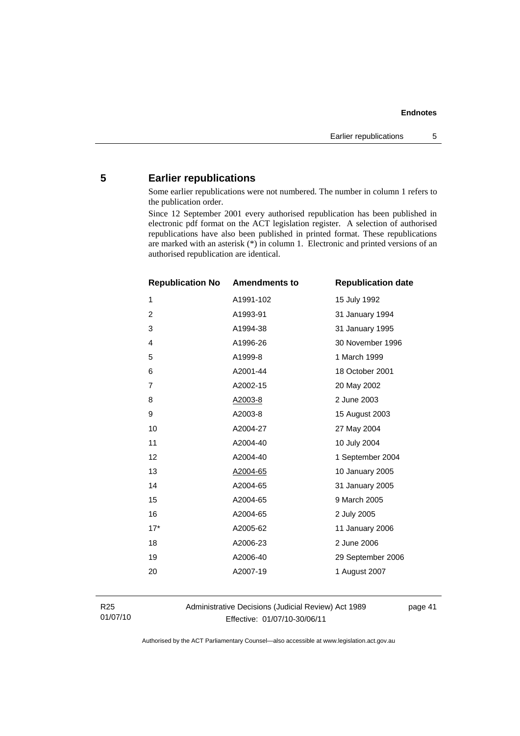# **5 Earlier republications**

Some earlier republications were not numbered. The number in column 1 refers to the publication order.

Since 12 September 2001 every authorised republication has been published in electronic pdf format on the ACT legislation register. A selection of authorised republications have also been published in printed format. These republications are marked with an asterisk (\*) in column 1. Electronic and printed versions of an authorised republication are identical.

| <b>Republication No</b> | <b>Amendments to</b> | <b>Republication date</b> |
|-------------------------|----------------------|---------------------------|
| $\mathbf{1}$            | A1991-102            | 15 July 1992              |
| $\overline{c}$          | A1993-91             | 31 January 1994           |
| 3                       | A1994-38             | 31 January 1995           |
| 4                       | A1996-26             | 30 November 1996          |
| 5                       | A1999-8              | 1 March 1999              |
| 6                       | A2001-44             | 18 October 2001           |
| $\overline{7}$          | A2002-15             | 20 May 2002               |
| 8                       | A2003-8              | 2 June 2003               |
| 9                       | A2003-8              | 15 August 2003            |
| 10                      | A2004-27             | 27 May 2004               |
| 11                      | A2004-40             | 10 July 2004              |
| 12                      | A2004-40             | 1 September 2004          |
| 13                      | A2004-65             | 10 January 2005           |
| 14                      | A2004-65             | 31 January 2005           |
| 15                      | A2004-65             | 9 March 2005              |
| 16                      | A2004-65             | 2 July 2005               |
| $17*$                   | A2005-62             | 11 January 2006           |
| 18                      | A2006-23             | 2 June 2006               |
| 19                      | A2006-40             | 29 September 2006         |
| 20                      | A2007-19             | 1 August 2007             |
|                         |                      |                           |

R25 01/07/10 Administrative Decisions (Judicial Review) Act 1989 Effective: 01/07/10-30/06/11

page 41